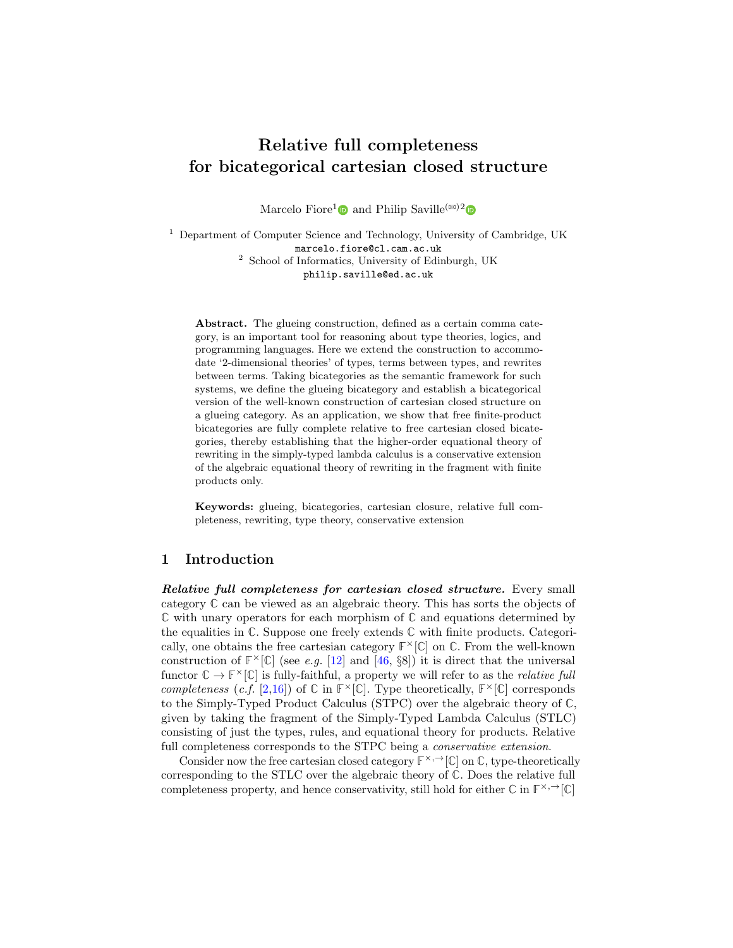# Relative full completeness for bicategorical cartesian closed structure

Marcelo Fiore<sup>1</sup><sup>O</sup> and Philip Saville<sup>( $\text{ }^{\text{(}x\text{)}}$ <sup>2</sup><sup>O</sup></sup>

<sup>1</sup> Department of Computer Science and Technology, University of Cambridge, UK marcelo.fiore@cl.cam.ac.uk <sup>2</sup> School of Informatics, University of Edinburgh, UK philip.saville@ed.ac.uk

Abstract. The glueing construction, defined as a certain comma category, is an important tool for reasoning about type theories, logics, and programming languages. Here we extend the construction to accommodate '2-dimensional theories' of types, terms between types, and rewrites between terms. Taking bicategories as the semantic framework for such systems, we define the glueing bicategory and establish a bicategorical version of the well-known construction of cartesian closed structure on a glueing category. As an application, we show that free finite-product bicategories are fully complete relative to free cartesian closed bicategories, thereby establishing that the higher-order equational theory of rewriting in the simply-typed lambda calculus is a conservative extension of the algebraic equational theory of rewriting in the fragment with finite products only.

Keywords: glueing, bicategories, cartesian closure, relative full completeness, rewriting, type theory, conservative extension

# 1 Introduction

Relative full completeness for cartesian closed structure. Every small category **C** can be viewed as an algebraic theory. This has sorts the objects of **C** with unary operators for each morphism of **C** and equations determined by the equalities in **C**. Suppose one freely extends **C** with finite products. Categorically, one obtains the free cartesian category  $\mathbb{F}^{\times}[\mathbb{C}]$  on  $\mathbb{C}$ . From the well-known construction of  $\mathbb{F}^{\times}[\mathbb{C}]$  (see e.g. [\[12\]](#page-18-0) and [\[46,](#page-20-0) §8]) it is direct that the universal functor  $\mathbb{C} \to \mathbb{F}^\times[\mathbb{C}]$  is fully-faithful, a property we will refer to as the *relative full* completeness (c.f. [\[2](#page-18-1)[,16\]](#page-18-2)) of  $\mathbb{C}$  in  $\mathbb{F}^{\times}[\mathbb{C}]$ . Type theoretically,  $\mathbb{F}^{\times}[\mathbb{C}]$  corresponds to the Simply-Typed Product Calculus (STPC) over the algebraic theory of **C**, given by taking the fragment of the Simply-Typed Lambda Calculus (STLC) consisting of just the types, rules, and equational theory for products. Relative full completeness corresponds to the STPC being a *conservative extension*.

Consider now the free cartesian closed category  $\mathbb{F}^{\times,\rightarrow}[\mathbb{C}]$  on  $\mathbb{C}$ , type-theoretically corresponding to the STLC over the algebraic theory of **C**. Does the relative full completeness property, and hence conservativity, still hold for either  $\mathbb{C}$  in  $\mathbb{F}^{\times,\rightarrow}[\mathbb{C}]$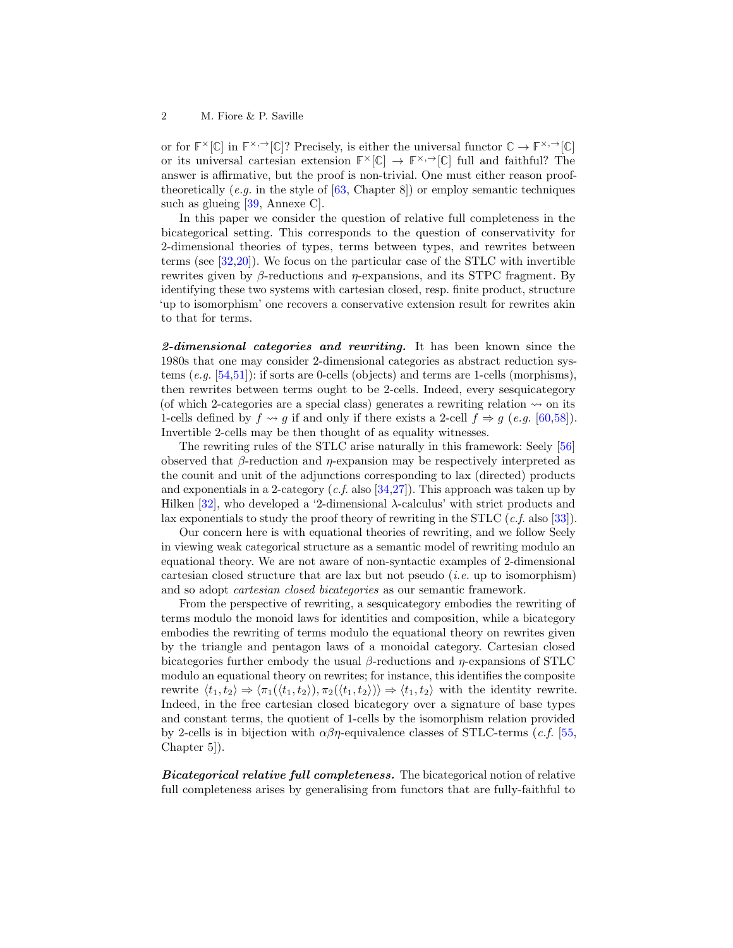or for  $\mathbb{F}^{\times}[\mathbb{C}]$  in  $\mathbb{F}^{\times}, \rightarrow [\mathbb{C}]$ ? Precisely, is either the universal functor  $\mathbb{C} \rightarrow \mathbb{F}^{\times}, \rightarrow [\mathbb{C}]$ or its universal cartesian extension  $\mathbb{F}^{\times}[\mathbb{C}] \to \mathbb{F}^{\times}, \rightarrow [\mathbb{C}]$  full and faithful? The answer is affirmative, but the proof is non-trivial. One must either reason prooftheoretically (e.g. in the style of  $[63, Chapter 8]$  $[63, Chapter 8]$ ) or employ semantic techniques such as glueing [\[39,](#page-20-1) Annexe C].

In this paper we consider the question of relative full completeness in the bicategorical setting. This corresponds to the question of conservativity for 2-dimensional theories of types, terms between types, and rewrites between terms (see [\[32,](#page-19-0)[20\]](#page-19-1)). We focus on the particular case of the STLC with invertible rewrites given by β-reductions and  $η$ -expansions, and its STPC fragment. By identifying these two systems with cartesian closed, resp. finite product, structure 'up to isomorphism' one recovers a conservative extension result for rewrites akin to that for terms.

2-dimensional categories and rewriting. It has been known since the 1980s that one may consider 2-dimensional categories as abstract reduction systems (e.g. [\[54](#page-20-2)[,51\]](#page-20-3)): if sorts are 0-cells (objects) and terms are 1-cells (morphisms), then rewrites between terms ought to be 2-cells. Indeed, every sesquicategory (of which 2-categories are a special class) generates a rewriting relation  $\sim$  on its 1-cells defined by  $f \rightsquigarrow g$  if and only if there exists a 2-cell  $f \Rightarrow g$  (e.g. [\[60](#page-21-1)[,58\]](#page-20-4)). Invertible 2-cells may be then thought of as equality witnesses.

The rewriting rules of the STLC arise naturally in this framework: Seely [\[56\]](#page-20-5) observed that  $\beta$ -reduction and  $\eta$ -expansion may be respectively interpreted as the counit and unit of the adjunctions corresponding to lax (directed) products and exponentials in a 2-category  $(c.f.$  also [\[34](#page-19-2)[,27\]](#page-19-3)). This approach was taken up by Hilken [\[32\]](#page-19-0), who developed a '2-dimensional  $\lambda$ -calculus' with strict products and lax exponentials to study the proof theory of rewriting in the STLC  $(c.f.$  also [\[33\]](#page-19-4)).

Our concern here is with equational theories of rewriting, and we follow Seely in viewing weak categorical structure as a semantic model of rewriting modulo an equational theory. We are not aware of non-syntactic examples of 2-dimensional cartesian closed structure that are lax but not pseudo *(i.e.* up to isomorphism) and so adopt cartesian closed bicategories as our semantic framework.

From the perspective of rewriting, a sesquicategory embodies the rewriting of terms modulo the monoid laws for identities and composition, while a bicategory embodies the rewriting of terms modulo the equational theory on rewrites given by the triangle and pentagon laws of a monoidal category. Cartesian closed bicategories further embody the usual  $\beta$ -reductions and  $\eta$ -expansions of STLC modulo an equational theory on rewrites; for instance, this identifies the composite rewrite  $\langle t_1, t_2 \rangle \Rightarrow \langle \pi_1(\langle t_1, t_2 \rangle), \pi_2(\langle t_1, t_2 \rangle) \rangle \Rightarrow \langle t_1, t_2 \rangle$  with the identity rewrite. Indeed, in the free cartesian closed bicategory over a signature of base types and constant terms, the quotient of 1-cells by the isomorphism relation provided by 2-cells is in bijection with  $\alpha\beta\eta$ -equivalence classes of STLC-terms (*c.f.* [\[55,](#page-20-6) Chapter 5]).

Bicategorical relative full completeness. The bicategorical notion of relative full completeness arises by generalising from functors that are fully-faithful to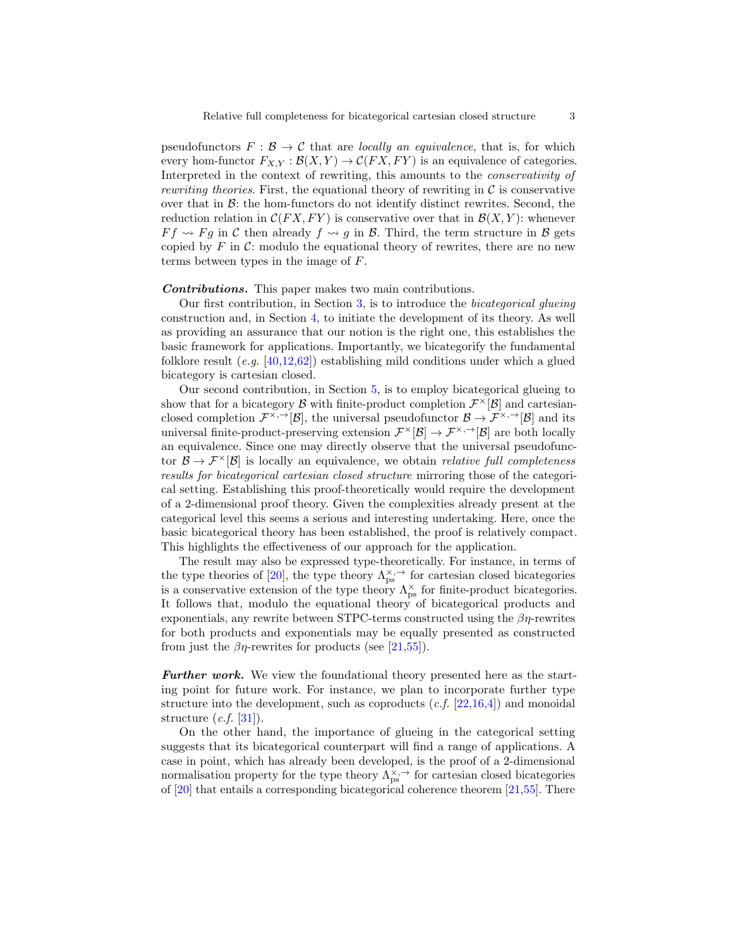pseudofunctors  $F : \mathcal{B} \to \mathcal{C}$  that are *locally an equivalence*, that is, for which every hom-functor  $F_{X,Y} : \mathcal{B}(X,Y) \to \mathcal{C}(FX,FY)$  is an equivalence of categories. Interpreted in the context of rewriting, this amounts to the conservativity of *rewriting theories.* First, the equational theory of rewriting in  $\mathcal C$  is conservative over that in  $\mathcal{B}$ : the hom-functors do not identify distinct rewrites. Second, the reduction relation in  $C(FX, FY)$  is conservative over that in  $\mathcal{B}(X, Y)$ : whenever  $F f \rightsquigarrow F g$  in C then already  $f \rightsquigarrow g$  in B. Third, the term structure in B gets copied by  $F$  in  $\mathcal{C}$ : modulo the equational theory of rewrites, there are no new terms between types in the image of F.

Contributions. This paper makes two main contributions.

Our first contribution, in Section [3,](#page-9-0) is to introduce the bicategorical glueing construction and, in Section [4,](#page-11-0) to initiate the development of its theory. As well as providing an assurance that our notion is the right one, this establishes the basic framework for applications. Importantly, we bicategorify the fundamental folklore result  $(e.g. [40,12,62])$  $(e.g. [40,12,62])$  $(e.g. [40,12,62])$  $(e.g. [40,12,62])$  $(e.g. [40,12,62])$  establishing mild conditions under which a glued bicategory is cartesian closed.

Our second contribution, in Section [5,](#page-16-0) is to employ bicategorical glueing to show that for a bicategory  $\mathcal{B}$  with finite-product completion  $\mathcal{F}^{\times}[\mathcal{B}]$  and cartesianclosed completion  $\mathcal{F}^{\times, \to}[\mathcal{B}]$ , the universal pseudofunctor  $\mathcal{B} \to \mathcal{F}^{\times, \to}[\mathcal{B}]$  and its universal finite-product-preserving extension  $\mathcal{F}^{\times}[\mathcal{B}] \to \mathcal{F}^{\times, \rightarrow}[\mathcal{B}]$  are both locally an equivalence. Since one may directly observe that the universal pseudofunctor  $\mathcal{B} \to \mathcal{F}^{\times}[\mathcal{B}]$  is locally an equivalence, we obtain *relative full completeness* results for bicategorical cartesian closed structure mirroring those of the categorical setting. Establishing this proof-theoretically would require the development of a 2-dimensional proof theory. Given the complexities already present at the categorical level this seems a serious and interesting undertaking. Here, once the basic bicategorical theory has been established, the proof is relatively compact. This highlights the effectiveness of our approach for the application.

The result may also be expressed type-theoretically. For instance, in terms of the type theories of [\[20\]](#page-19-1), the type theory  $\Lambda_{\text{ps}}^{\times, \rightarrow}$  for cartesian closed bicategories is a conservative extension of the type theory  $\Lambda_{\rm ps}^{\times}$  for finite-product bicategories. It follows that, modulo the equational theory of bicategorical products and exponentials, any rewrite between STPC-terms constructed using the  $\beta\eta$ -rewrites for both products and exponentials may be equally presented as constructed from just the  $\beta\eta$ -rewrites for products (see [\[21,](#page-19-5)[55\]](#page-20-6)).

Further work. We view the foundational theory presented here as the starting point for future work. For instance, we plan to incorporate further type structure into the development, such as coproducts  $(c.f. [22,16,4])$  $(c.f. [22,16,4])$  $(c.f. [22,16,4])$  $(c.f. [22,16,4])$  $(c.f. [22,16,4])$  and monoidal structure  $(c.f. [31]).$  $(c.f. [31]).$  $(c.f. [31]).$ 

On the other hand, the importance of glueing in the categorical setting suggests that its bicategorical counterpart will find a range of applications. A case in point, which has already been developed, is the proof of a 2-dimensional normalisation property for the type theory  $\Lambda_{\text{ps}}^{\times, \rightarrow}$  for cartesian closed bicategories of  $[20]$  that entails a corresponding bicategorical coherence theorem  $[21,55]$  $[21,55]$ . There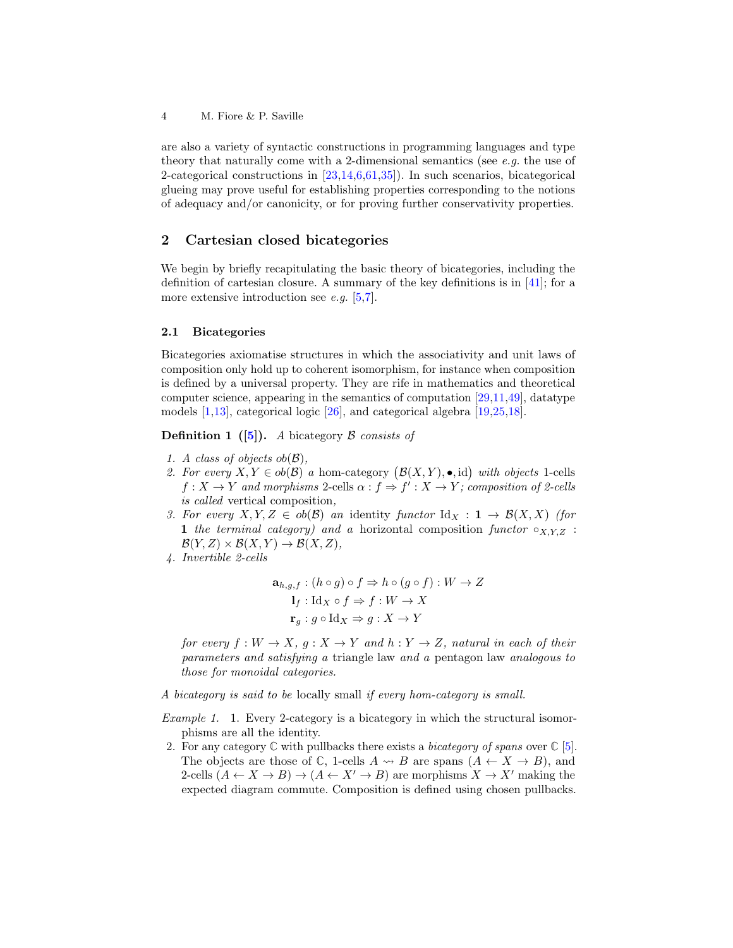are also a variety of syntactic constructions in programming languages and type theory that naturally come with a 2-dimensional semantics (see  $e.g.$  the use of 2-categorical constructions in [\[23](#page-19-8)[,14,](#page-18-4)[6,](#page-18-5)[61](#page-21-3)[,35\]](#page-19-9)). In such scenarios, bicategorical glueing may prove useful for establishing properties corresponding to the notions of adequacy and/or canonicity, or for proving further conservativity properties.

# 2 Cartesian closed bicategories

We begin by briefly recapitulating the basic theory of bicategories, including the definition of cartesian closure. A summary of the key definitions is in [\[41\]](#page-20-8); for a more extensive introduction see  $e.g. [5,7]$  $e.g. [5,7]$  $e.g. [5,7]$ .

#### 2.1 Bicategories

Bicategories axiomatise structures in which the associativity and unit laws of composition only hold up to coherent isomorphism, for instance when composition is defined by a universal property. They are rife in mathematics and theoretical computer science, appearing in the semantics of computation  $[29,11,49]$  $[29,11,49]$  $[29,11,49]$ , datatype models [\[1,](#page-18-9)[13\]](#page-18-10), categorical logic [\[26\]](#page-19-11), and categorical algebra [\[19,](#page-19-12)[25,](#page-19-13)[18\]](#page-19-14).

**Definition 1** ([\[5\]](#page-18-6)). A bicategory  $\beta$  consists of

- 1. A class of objects  $ob(\mathcal{B})$ ,
- 2. For every  $X, Y \in ob(\mathcal{B})$  a hom-category  $(\mathcal{B}(X, Y), \bullet, id)$  with objects 1-cells  $f: X \to Y$  and morphisms 2-cells  $\alpha: f \Rightarrow f': X \to Y$ ; composition of 2-cells is called vertical composition,
- 3. For every  $X, Y, Z \in ob(\mathcal{B})$  an identity functor  $\mathrm{Id}_X : \mathbf{1} \to \mathcal{B}(X, X)$  (for 1 the terminal category) and a horizontal composition functor  $\circ_{X,Y,Z}$ :  $\mathcal{B}(Y, Z) \times \mathcal{B}(X, Y) \rightarrow \mathcal{B}(X, Z),$
- 4. Invertible 2-cells

$$
\mathbf{a}_{h,g,f}: (h \circ g) \circ f \Rightarrow h \circ (g \circ f): W \to Z
$$

$$
\mathbf{l}_f: \mathrm{Id}_X \circ f \Rightarrow f: W \to X
$$

$$
\mathbf{r}_g: g \circ \mathrm{Id}_X \Rightarrow g: X \to Y
$$

for every  $f: W \to X$ ,  $g: X \to Y$  and  $h: Y \to Z$ , natural in each of their parameters and satisfying a triangle law and a pentagon law analogous to those for monoidal categories.

A bicategory is said to be locally small if every hom-category is small.

- Example 1. 1. Every 2-category is a bicategory in which the structural isomorphisms are all the identity.
- 2. For any category  $\mathbb C$  with pullbacks there exists a *bicategory of spans* over  $\mathbb C$  [\[5\]](#page-18-6). The objects are those of  $\mathbb{C}$ , 1-cells  $A \rightsquigarrow B$  are spans  $(A \leftarrow X \rightarrow B)$ , and 2-cells  $(A \leftarrow X \rightarrow B) \rightarrow (A \leftarrow X' \rightarrow B)$  are morphisms  $X \rightarrow X'$  making the expected diagram commute. Composition is defined using chosen pullbacks.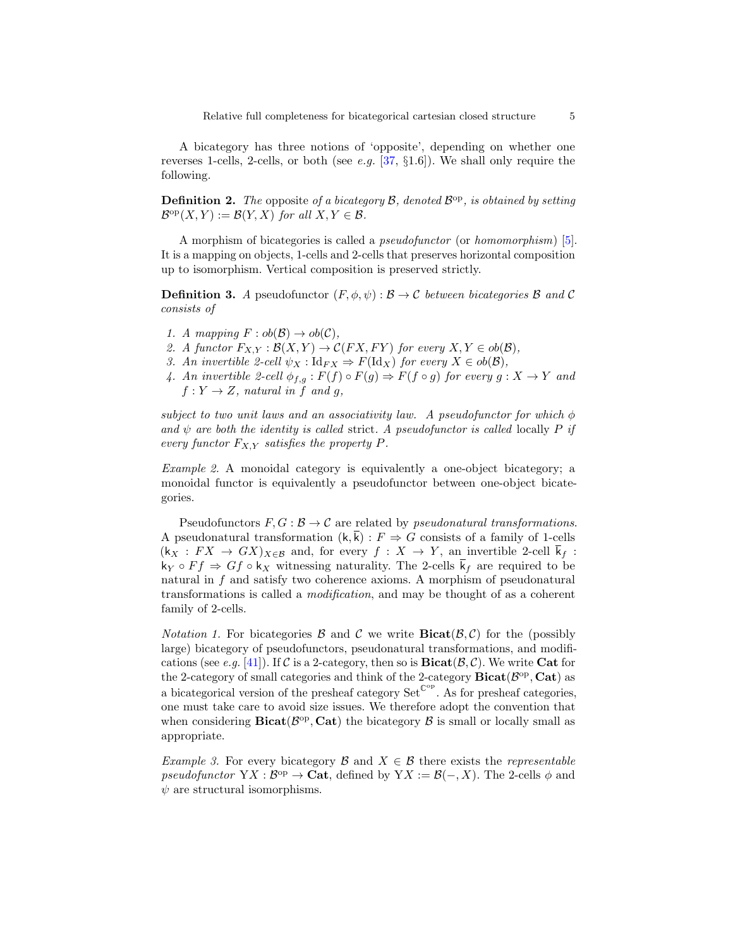A bicategory has three notions of 'opposite', depending on whether one reverses 1-cells, 2-cells, or both (see e.g. [\[37,](#page-19-15) §1.6]). We shall only require the following.

**Definition 2.** The opposite of a bicategory  $\mathcal{B}$ , denoted  $\mathcal{B}^{\text{op}}$ , is obtained by setting  $\mathcal{B}^{\mathrm{op}}(X,Y) := \mathcal{B}(Y,X)$  for all  $X,Y \in \mathcal{B}$ .

A morphism of bicategories is called a pseudofunctor (or homomorphism) [\[5\]](#page-18-6). It is a mapping on objects, 1-cells and 2-cells that preserves horizontal composition up to isomorphism. Vertical composition is preserved strictly.

**Definition 3.** A pseudofunctor  $(F, \phi, \psi) : \mathcal{B} \to \mathcal{C}$  between bicategories  $\mathcal{B}$  and  $\mathcal{C}$ consists of

- 1. A mapping  $F : ob(\mathcal{B}) \to ob(\mathcal{C}),$
- 2. A functor  $F_{X,Y} : \mathcal{B}(X,Y) \to \mathcal{C}(FX,FY)$  for every  $X,Y \in ob(\mathcal{B}),$
- 3. An invertible 2-cell  $\psi_X : \text{Id}_{FX} \Rightarrow F(\text{Id}_X)$  for every  $X \in ob(\mathcal{B}),$
- 4. An invertible 2-cell  $\phi_{f,g}: F(f) \circ F(g) \Rightarrow F(f \circ g)$  for every  $g: X \to Y$  and  $f: Y \to Z$ , natural in f and g,

subject to two unit laws and an associativity law. A pseudofunctor for which  $\phi$ and  $\psi$  are both the identity is called strict. A pseudofunctor is called locally P if every functor  $F_{X,Y}$  satisfies the property P.

Example 2. A monoidal category is equivalently a one-object bicategory; a monoidal functor is equivalently a pseudofunctor between one-object bicategories.

Pseudofunctors  $F, G : \mathcal{B} \to \mathcal{C}$  are related by *pseudonatural transformations*. A pseudonatural transformation  $(k, k) : F \Rightarrow G$  consists of a family of 1-cells  $(k_X : FX \rightarrow GX)_{X\in\mathcal{B}}$  and, for every  $f : X \rightarrow Y$ , an invertible 2-cell  $\overline{k}_f$ :  $k_Y \circ F f \Rightarrow G f \circ k_X$  witnessing naturality. The 2-cells  $\overline{k}_f$  are required to be natural in  $f$  and satisfy two coherence axioms. A morphism of pseudonatural transformations is called a modification, and may be thought of as a coherent family of 2-cells.

*Notation 1.* For bicategories  $\beta$  and  $\beta$  we write **Bicat** $(\beta, \beta)$  for the (possibly large) bicategory of pseudofunctors, pseudonatural transformations, and modifi-cations (see e.g. [\[41\]](#page-20-8)). If C is a 2-category, then so is  $\textbf{Bicat}(\mathcal{B}, \mathcal{C})$ . We write Cat for the 2-category of small categories and think of the 2-category  $\text{Bicat}(\mathcal{B}^{\text{op}}, \text{Cat})$  as a bicategorical version of the presheaf category Set<sup> $\mathbb{C}^{\text{op}}$ </sup>. As for presheaf categories, one must take care to avoid size issues. We therefore adopt the convention that when considering  $Bicat(\mathcal{B}^{\text{op}}, \text{Cat})$  the bicategory  $\mathcal B$  is small or locally small as appropriate.

Example 3. For every bicategory B and  $X \in \mathcal{B}$  there exists the representable pseudofunctor  $YX : B^{op} \to \mathbf{Cat}$ , defined by  $YX := \mathcal{B}(-, X)$ . The 2-cells  $\phi$  and  $\psi$  are structural isomorphisms.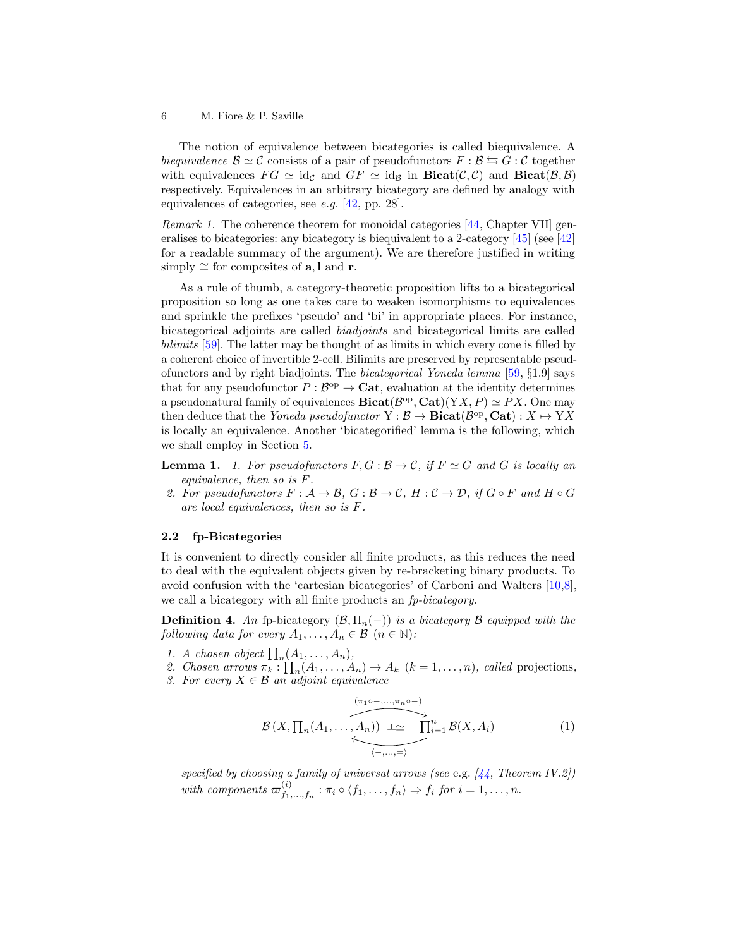The notion of equivalence between bicategories is called biequivalence. A biequivalence  $\mathcal{B} \simeq \mathcal{C}$  consists of a pair of pseudofunctors  $F : \mathcal{B} \leftrightarrows G : \mathcal{C}$  together with equivalences  $FG \simeq id_{\mathcal{C}}$  and  $GF \simeq id_{\mathcal{B}}$  in  $\textbf{Bicat}(\mathcal{C}, \mathcal{C})$  and  $\textbf{Bicat}(\mathcal{B}, \mathcal{B})$ respectively. Equivalences in an arbitrary bicategory are defined by analogy with equivalences of categories, see e.g. [\[42,](#page-20-10) pp. 28].

<span id="page-5-1"></span>Remark 1. The coherence theorem for monoidal categories [\[44,](#page-20-11) Chapter VII] generalises to bicategories: any bicategory is biequivalent to a 2-category  $[45]$  (see  $[42]$ ) for a readable summary of the argument). We are therefore justified in writing simply  $\cong$  for composites of **a**, l and **r**.

As a rule of thumb, a category-theoretic proposition lifts to a bicategorical proposition so long as one takes care to weaken isomorphisms to equivalences and sprinkle the prefixes 'pseudo' and 'bi' in appropriate places. For instance, bicategorical adjoints are called biadjoints and bicategorical limits are called bilimits [\[59\]](#page-21-4). The latter may be thought of as limits in which every cone is filled by a coherent choice of invertible 2-cell. Bilimits are preserved by representable pseudofunctors and by right biadjoints. The bicategorical Yoneda lemma [\[59,](#page-21-4) §1.9] says that for any pseudofunctor  $P : B^{\text{op}} \to \text{Cat}$ , evaluation at the identity determines a pseudonatural family of equivalences  $\text{Bicat}(\mathcal{B}^{\text{op}}, \text{Cat})(YX, P) \simeq PX$ . One may then deduce that the Yoneda pseudofunctor  $Y : \mathcal{B} \to \textbf{Bicat}(\mathcal{B}^{\text{op}}, \textbf{Cat}) : X \mapsto YX$ is locally an equivalence. Another 'bicategorified' lemma is the following, which we shall employ in Section [5.](#page-16-0)

- <span id="page-5-3"></span><span id="page-5-2"></span>**Lemma 1.** 1. For pseudofunctors  $F, G : \mathcal{B} \to \mathcal{C}$ , if  $F \simeq G$  and G is locally an equivalence, then so is F.
- <span id="page-5-4"></span>2. For pseudofunctors  $F: \mathcal{A} \to \mathcal{B}, G: \mathcal{B} \to \mathcal{C}, H: \mathcal{C} \to \mathcal{D}, \text{ if } G \circ F \text{ and } H \circ G$ are local equivalences, then so is F.

#### 2.2 fp-Bicategories

It is convenient to directly consider all finite products, as this reduces the need to deal with the equivalent objects given by re-bracketing binary products. To avoid confusion with the 'cartesian bicategories' of Carboni and Walters [\[10,](#page-18-11)[8\]](#page-18-12), we call a bicategory with all finite products an  $fp\text{-}bicategory.$ 

**Definition 4.** An fp-bicategory  $(\mathcal{B}, \Pi_n(-))$  is a bicategory  $\mathcal{B}$  equipped with the following data for every  $A_1, \ldots, A_n \in \mathcal{B}$   $(n \in \mathbb{N})$ :

1. A chosen object  $\prod_n(A_1,\ldots,A_n)$ ,

2. Chosen arrows  $\pi_k : \prod_n (A_1, \ldots, A_n) \to A_k$   $(k = 1, \ldots, n)$ , called projections, 3. For every  $X \in \mathcal{B}$  an adjoint equivalence

<span id="page-5-0"></span>
$$
\mathcal{B}(X,\prod_n(A_1,\ldots,A_n)) \xrightarrow{\mu \sim \text{max}(A_1,\ldots,A_n)} \mathcal{B}(X,A_i) \qquad (1)
$$

specified by choosing a family of universal arrows (see e.g.  $[44,$  Theorem IV.2]) with components  $\varpi_{f_1}^{(i)}$  $f_{1},...,f_{n}$ :  $\pi_{i} \circ \langle f_{1},...,f_{n} \rangle \Rightarrow f_{i}$  for  $i = 1,...,n$ .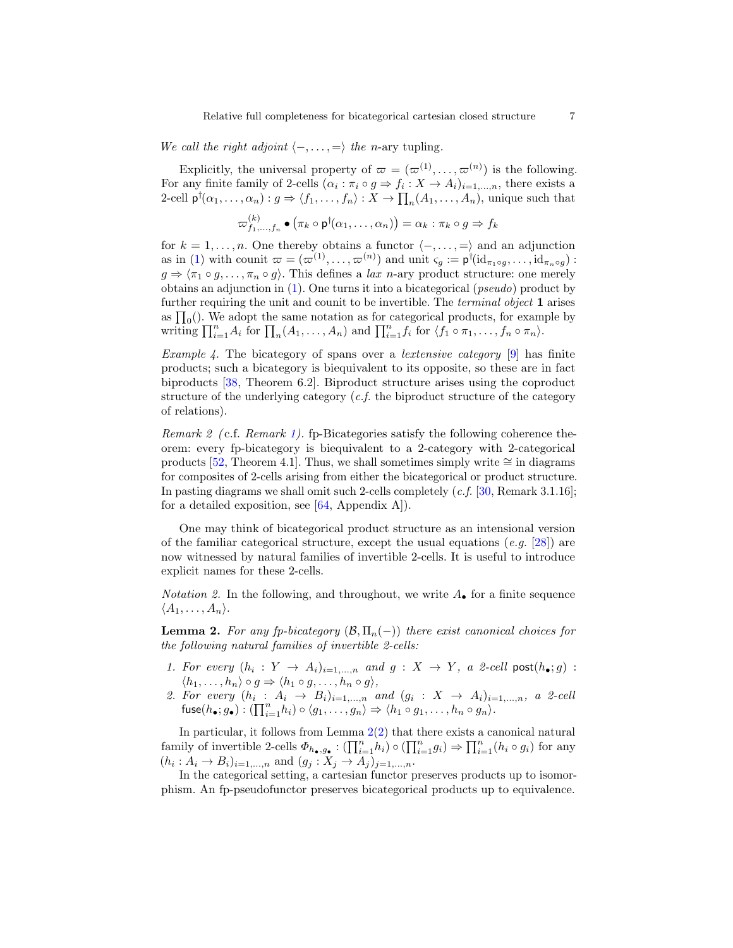We call the right adjoint  $\langle -, \ldots, \equiv \rangle$  the n-ary tupling.

Explicitly, the universal property of  $\varpi = (\varpi^{(1)}, \ldots, \varpi^{(n)})$  is the following. For any finite family of 2-cells  $(\alpha_i : \pi_i \circ g \Rightarrow f_i : X \to A_i)_{i=1,\dots,n}$ , there exists a 2-cell  $\mathsf{p}^\dagger(\alpha_1,\ldots,\alpha_n): g \Rightarrow \langle f_1,\ldots,f_n\rangle: X \to \prod_n(A_1,\ldots,A_n),$  unique such that

$$
\varpi_{f_1,\ldots,f_n}^{(k)} \bullet (\pi_k \circ \mathsf{p}^{\dagger}(\alpha_1,\ldots,\alpha_n)) = \alpha_k : \pi_k \circ g \Rightarrow f_k
$$

for  $k = 1, \ldots, n$ . One thereby obtains a functor  $\langle -, \ldots, \equiv \rangle$  and an adjunction as in [\(1\)](#page-5-0) with counit  $\varpi = (\varpi^{(1)}, \dots, \varpi^{(n)})$  and unit  $\varsigma_g := \mathsf{p}^\dagger(\mathrm{id}_{\pi_1 \circ g}, \dots, \mathrm{id}_{\pi_n \circ g})$ :  $g \Rightarrow \langle \pi_1 \circ g, \ldots, \pi_n \circ g \rangle$ . This defines a lax n-ary product structure: one merely obtains an adjunction in  $(1)$ . One turns it into a bicategorical (*pseudo*) product by further requiring the unit and counit to be invertible. The *terminal object* 1 arises as  $\prod_0()$ . We adopt the same notation as for categorical products, for example by writing  $\prod_{i=1}^n A_i$  for  $\prod_n (A_1, \ldots, A_n)$  and  $\prod_{i=1}^n f_i$  for  $\langle f_1 \circ \pi_1, \ldots, f_n \circ \pi_n \rangle$ .

*Example 4.* The bicategory of spans over a *lextensive category* [\[9\]](#page-18-13) has finite products; such a bicategory is biequivalent to its opposite, so these are in fact biproducts [\[38,](#page-19-16) Theorem 6.2]. Biproduct structure arises using the coproduct structure of the underlying category  $(c.f.$  the biproduct structure of the category of relations).

Remark 2 (c.f. Remark [1\)](#page-5-1). fp-Bicategories satisfy the following coherence theorem: every fp-bicategory is biequivalent to a 2-category with 2-categorical products [\[52,](#page-20-13) Theorem 4.1]. Thus, we shall sometimes simply write  $\cong$  in diagrams for composites of 2-cells arising from either the bicategorical or product structure. In pasting diagrams we shall omit such 2-cells completely (c.f. [\[30,](#page-19-17) Remark 3.1.16]; for a detailed exposition, see  $[64,$  Appendix A]).

One may think of bicategorical product structure as an intensional version of the familiar categorical structure, except the usual equations (e.g.  $[28]$ ) are now witnessed by natural families of invertible 2-cells. It is useful to introduce explicit names for these 2-cells.

*Notation 2.* In the following, and throughout, we write  $A_{\bullet}$  for a finite sequence  $\langle A_1, \ldots, A_n \rangle$ .

<span id="page-6-0"></span>**Lemma 2.** For any fp-bicategory  $(\mathcal{B}, \Pi_n(-))$  there exist canonical choices for the following natural families of invertible 2-cells:

- 1. For every  $(h_i: Y \to A_i)_{i=1,...,n}$  and  $g: X \to Y$ , a 2-cell post $(h_{\bullet}; g)$ :  $\langle h_1, \ldots, h_n \rangle \circ g \Rightarrow \langle h_1 \circ g, \ldots, h_n \circ g \rangle,$
- <span id="page-6-1"></span>2. For every  $(h_i : A_i \rightarrow B_i)_{i=1,...,n}$  and  $(g_i : X \rightarrow A_i)_{i=1,...,n}$ , a 2-cell  ${\sf fuse}(h_{\bullet}; g_{\bullet}) : (\prod_{i=1}^n h_i) \circ \langle g_1, \ldots, g_n \rangle \Rightarrow \langle h_1 \circ g_1, \ldots, h_n \circ g_n \rangle.$

In particular, it follows from Lemma  $2(2)$  $2(2)$  that there exists a canonical natural family of invertible 2-cells  $\Phi_{h_{\bullet},g_{\bullet}}: (\prod_{i=1}^n h_i) \circ (\prod_{i=1}^n g_i) \Rightarrow \prod_{i=1}^n (h_i \circ g_i)$  for any  $(h_i: A_i \to B_i)_{i=1,...,n}$  and  $(g_j: X_j \to A_j)_{j=1,...,n}$ .

In the categorical setting, a cartesian functor preserves products up to isomorphism. An fp-pseudofunctor preserves bicategorical products up to equivalence.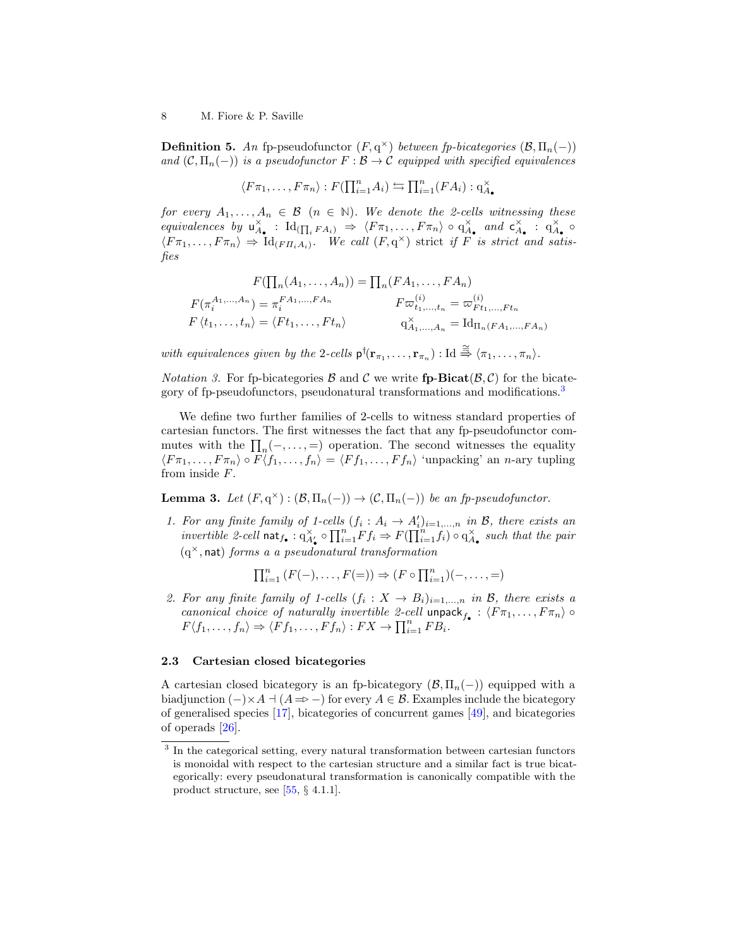**Definition 5.** An fp-pseudofunctor  $(F, q^{\times})$  between fp-bicategories  $(\mathcal{B}, \Pi_n(-))$ and  $(C, \Pi_n(-))$  is a pseudofunctor  $F : \mathcal{B} \to \mathcal{C}$  equipped with specified equivalences

$$
\langle F\pi_1,\ldots,F\pi_n\rangle:F(\prod_{i=1}^n A_i)\leftrightarrows\prod_{i=1}^n (FA_i):q_{A_{\bullet}}^{\times}
$$

for every  $A_1, \ldots, A_n \in \mathcal{B}$  ( $n \in \mathbb{N}$ ). We denote the 2-cells witnessing these equivalences by  $u_{A_{\bullet}}^{\times}$ :  $\mathrm{Id}_{(\prod_i FA_i)} \Rightarrow \langle F\pi_1,\ldots,F\pi_n \rangle \circ q_{A_{\bullet}}^{\times}$  and  $c_{A_{\bullet}}^{\times}$ :  $q_{A_{\bullet}}^{\times}$  $\langle F\pi_1,\ldots,F\pi_n\rangle \Rightarrow \mathrm{Id}_{(F\Pi_i A_i)}$ . We call  $(F,q^{\times})$  strict if F is strict and satisfies

$$
F(\prod_{n}(A_{1},...,A_{n})) = \prod_{n}(FA_{1},...,FA_{n})
$$
  
\n
$$
F(\pi_{i}^{A_{1},...,A_{n}}) = \pi_{i}^{FA_{1},...,FA_{n}} F\varpi_{t_{1},...,t_{n}}^{(i)} = \varpi_{F_{t_{1},...,F_{t_{n}}}^{(i)}
$$
  
\n
$$
F\langle t_{1},...,t_{n}\rangle = \langle Ft_{1},...,Ft_{n}\rangle
$$
  
\n
$$
q_{A_{1},...,A_{n}}^{X} = \text{Id}_{\Pi_{n}(FA_{1},...,FA_{n})}
$$

with equivalences given by the 2-cells  $p^{\dagger}(\mathbf{r}_{\pi_1},...,\mathbf{r}_{\pi_n}) : \mathrm{Id} \overset{\cong}{\Rightarrow} \langle \pi_1,...,\pi_n \rangle$ .

<span id="page-7-1"></span>*Notation 3.* For fp-bicategories  $\mathcal{B}$  and  $\mathcal{C}$  we write fp-Bicat $(\mathcal{B}, \mathcal{C})$  for the bicate-gory of fp-pseudofunctors, pseudonatural transformations and modifications.<sup>[3](#page-7-0)</sup>

We define two further families of 2-cells to witness standard properties of cartesian functors. The first witnesses the fact that any fp-pseudofunctor commutes with the  $\prod_n(-, \ldots, =)$  operation. The second witnesses the equality  $\langle F\pi_1, \ldots, F\pi_n \rangle \circ F \langle f_1, \ldots, f_n \rangle = \langle Ff_1, \ldots, Ff_n \rangle$  'unpacking' an n-ary tupling from inside F.

**Lemma 3.** Let  $(F, q^{\times}) : (\mathcal{B}, \Pi_n(-)) \to (\mathcal{C}, \Pi_n(-))$  be an fp-pseudofunctor.

1. For any finite family of 1-cells  $(f_i : A_i \rightarrow A'_i)_{i=1,...,n}$  in B, there exists an invertible 2-cell  $\text{nat}_{f_{\bullet}} : q_{A'_{\bullet}}^{\times} \circ \prod_{i=1}^{n} F f_i \Rightarrow F(\prod_{i=1}^{n} f_i) \circ q_{A_{\bullet}}^{\times}$  such that the pair  $(q^{\times}, \text{nat})$  forms a a pseudonatural transformation

$$
\prod_{i=1}^n (F(-),\ldots,F(=)) \Rightarrow (F \circ \prod_{i=1}^n)(-,\ldots,=)
$$

2. For any finite family of 1-cells  $(f_i: X \to B_i)_{i=1,...,n}$  in B, there exists a canonical choice of naturally invertible 2-cell unpack $f_{\bullet} : \langle F \pi_1, \ldots, F \pi_n \rangle \circ$  $F\langle f_1,\ldots,f_n\rangle \Rightarrow \langle Ff_1,\ldots,Ff_n\rangle : FX \to \prod_{i=1}^n FB_i.$ 

#### 2.3 Cartesian closed bicategories

A cartesian closed bicategory is an fp-bicategory  $(\mathcal{B}, \Pi_n(-))$  equipped with a biadjunction  $(-)\times A \dashv (A \Rightarrow -)$  for every  $A \in \mathcal{B}$ . Examples include the bicategory of generalised species [\[17\]](#page-18-14), bicategories of concurrent games [\[49\]](#page-20-9), and bicategories of operads [\[26\]](#page-19-11).

<span id="page-7-0"></span><sup>&</sup>lt;sup>3</sup> In the categorical setting, every natural transformation between cartesian functors is monoidal with respect to the cartesian structure and a similar fact is true bicategorically: every pseudonatural transformation is canonically compatible with the product structure, see [\[55,](#page-20-6) § 4.1.1].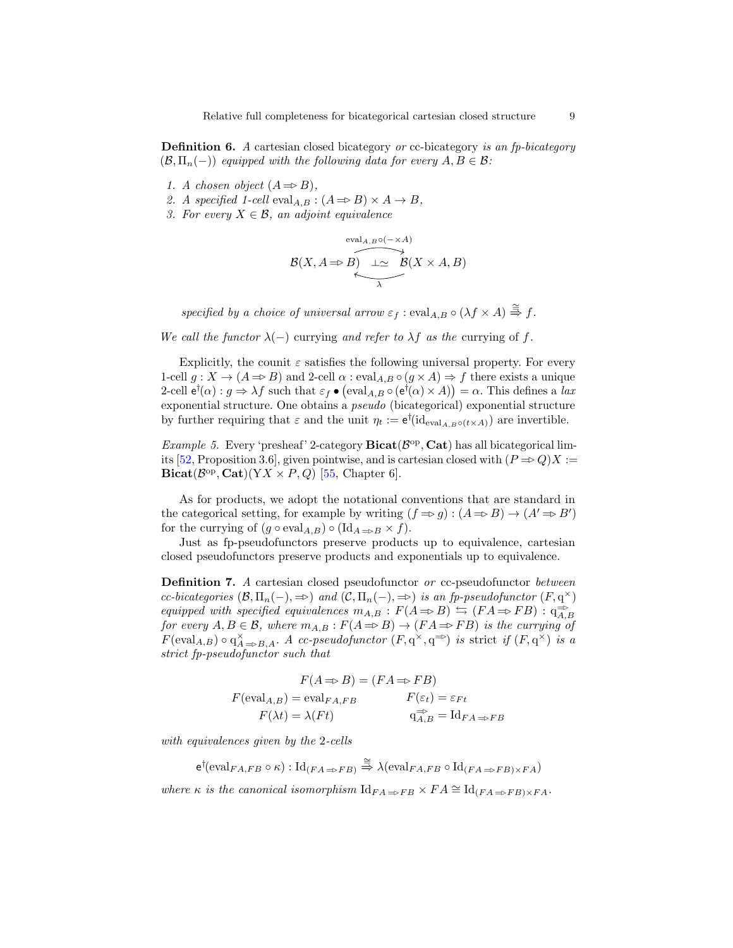**Definition 6.** A cartesian closed bicategory or cc-bicategory is an fp-bicategory  $(\mathcal{B}, \Pi_n(-))$  equipped with the following data for every  $A, B \in \mathcal{B}$ :

- 1. A chosen object  $(A \Rightarrow B)$ ,
- 2. A specified 1-cell eval<sub>A,B</sub> :  $(A \Rightarrow B) \times A \rightarrow B$ ,
- 3. For every  $X \in \mathcal{B}$ , an adjoint equivalence

$$
\mathcal{B}(X, A \Rightarrow B) \xrightarrow[\lambda]{eval_{A,B} \circ (- \times A)} \mathcal{B}(X \times A, B)
$$

specified by a choice of universal arrow  $\varepsilon_f$ : eval<sub>A,B</sub>  $\circ$  ( $\lambda f \times A$ )  $\stackrel{\cong}{\Rightarrow}$  f.

We call the functor  $\lambda(-)$  currying and refer to  $\lambda f$  as the currying of f.

Explicitly, the counit  $\varepsilon$  satisfies the following universal property. For every 1-cell  $g: X \to (A \Rightarrow B)$  and 2-cell  $\alpha : eval_{A,B} \circ (g \times A) \Rightarrow f$  there exists a unique 2-cell  $e^{\dagger}(\alpha) : g \Rightarrow \lambda f$  such that  $\varepsilon_f \bullet (\text{eval}_{A,B} \circ (e^{\dagger}(\alpha) \times A)) = \alpha$ . This defines a lax exponential structure. One obtains a pseudo (bicategorical) exponential structure by further requiring that  $\varepsilon$  and the unit  $\eta_t := e^{\dagger}(\mathrm{id}_{\mathrm{eval}_{A,B}\circ(t\times A)})$  are invertible.

*Example 5.* Every 'presheaf' 2-category  $Bicat(\mathcal{B}^{\text{op}}, \mathbf{Cat})$  has all bicategorical lim-its [\[52,](#page-20-13) Proposition 3.6], given pointwise, and is cartesian closed with  $(P \Rightarrow Q)X$  :=  $\text{Bicat}(\mathcal{B}^{\text{op}}, \text{Cat})(YX \times P, Q)$  [\[55,](#page-20-6) Chapter 6].

As for products, we adopt the notational conventions that are standard in the categorical setting, for example by writing  $(f \Rightarrow g) : (A \Rightarrow B) \rightarrow (A' \Rightarrow B')$ for the currying of  $(g \circ \text{eval}_{A,B}) \circ (\text{Id}_{A \Rightarrow B} \times f)$ .

Just as fp-pseudofunctors preserve products up to equivalence, cartesian closed pseudofunctors preserve products and exponentials up to equivalence.

**Definition 7.** A cartesian closed pseudofunctor or cc-pseudofunctor between cc-bicategories  $(\mathcal{B}, \Pi_n(-), \Rightarrow)$  and  $(\mathcal{C}, \Pi_n(-), \Rightarrow)$  is an fp-pseudofunctor  $(F, q^{\times})$ equipped with specified equivalences  $m_{A,B}: F(A \Rightarrow B) \Leftrightarrow (FA \Rightarrow FB): q_{A,B}^{\Rightarrow}$ for every  $A, B \in \mathcal{B}$ , where  $m_{A,B} : F(A \Rightarrow B) \to (FA \Rightarrow FB)$  is the currying of  $F(\text{eval}_{A,B}) \circ q_{A\Rightarrow B,A}^{\times}$ . A cc-pseudofunctor  $(F, q^{\times}, q^{\Rightarrow})$  is strict if  $(F, q^{\times})$  is a strict fp-pseudofunctor such that

$$
F(A \Rightarrow B) = (FA \Rightarrow FB)
$$
  

$$
F(\text{eval}_{A,B}) = \text{eval}_{FA,FB} \qquad F(\varepsilon_t) = \varepsilon_{Ft}
$$
  

$$
F(\lambda t) = \lambda (Ft) \qquad \text{q}_{A,B}^{\Rightarrow} = \text{Id}_{FA \Rightarrow FB}
$$

with equivalences given by the 2-cells

 $\mathsf{e}^\dagger(\text{eval}_{FA,FB} \circ \kappa) : \text{Id}_{(FA \Rightarrow FB)} \stackrel{\cong}{\Rightarrow} \lambda(\text{eval}_{FA,FB} \circ \text{Id}_{(FA \Rightarrow FB) \times FA})$ 

where  $\kappa$  is the canonical isomorphism  $\mathrm{Id}_{FA \Rightarrow FB} \times FA \cong \mathrm{Id}_{(FA \Rightarrow FB) \times FA}$ .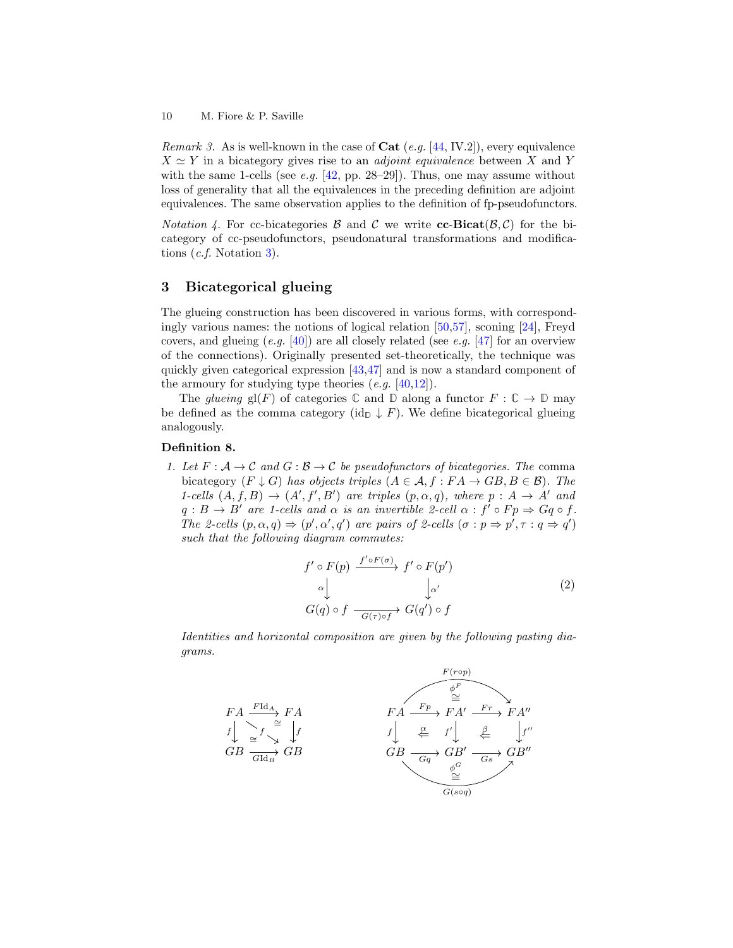*Remark 3.* As is well-known in the case of  $Cat$  (e.g. [\[44,](#page-20-11) IV.2]), every equivalence  $X \simeq Y$  in a bicategory gives rise to an *adjoint equivalence* between X and Y with the same 1-cells (see e.g.  $[42, pp. 28-29]$  $[42, pp. 28-29]$ ). Thus, one may assume without loss of generality that all the equivalences in the preceding definition are adjoint equivalences. The same observation applies to the definition of fp-pseudofunctors.

*Notation 4.* For cc-bicategories  $\beta$  and  $\beta$  we write cc-Bicat( $\beta$ , $\beta$ ) for the bicategory of cc-pseudofunctors, pseudonatural transformations and modifications (c.f. Notation [3\)](#page-7-1).

# <span id="page-9-0"></span>3 Bicategorical glueing

The glueing construction has been discovered in various forms, with correspondingly various names: the notions of logical relation [\[50](#page-20-14)[,57\]](#page-20-15), sconing [\[24\]](#page-19-19), Freyd covers, and glueing  $(e, q, [40])$  $(e, q, [40])$  $(e, q, [40])$  are all closely related (see e.g. [\[47\]](#page-20-16) for an overview of the connections). Originally presented set-theoretically, the technique was quickly given categorical expression [\[43](#page-20-17)[,47\]](#page-20-16) and is now a standard component of the armoury for studying type theories  $(e.g. [40,12])$  $(e.g. [40,12])$  $(e.g. [40,12])$  $(e.g. [40,12])$ .

The glueing  $gl(F)$  of categories  $\mathbb C$  and  $\mathbb D$  along a functor  $F : \mathbb C \to \mathbb D$  may be defined as the comma category (id<sub>D</sub>  $\downarrow$  F). We define bicategorical glueing analogously.

### Definition 8.

1. Let  $F: \mathcal{A} \to \mathcal{C}$  and  $G: \mathcal{B} \to \mathcal{C}$  be pseudofunctors of bicategories. The comma bicategory  $(F \downarrow G)$  has objects triples  $(A \in \mathcal{A}, f : FA \to GB, B \in \mathcal{B})$ . The 1-cells  $(A, f, B) \rightarrow (A', f', B')$  are triples  $(p, \alpha, q)$ , where  $p : A \rightarrow A'$  and  $q : B \to B'$  are 1-cells and  $\alpha$  is an invertible 2-cell  $\alpha : f' \circ Fp \Rightarrow Gq \circ f$ . The 2-cells  $(p, \alpha, q) \Rightarrow (p', \alpha', q')$  are pairs of 2-cells  $(\sigma : p \Rightarrow p', \tau : q \Rightarrow q')$ such that the following diagram commutes:

<span id="page-9-1"></span>
$$
f' \circ F(p) \xrightarrow{f' \circ F(\sigma)} f' \circ F(p')
$$
  
\n
$$
\alpha \downarrow \qquad \qquad \downarrow \alpha'
$$
  
\n
$$
G(q) \circ f \xrightarrow[G(\tau) \circ f]{} G(q') \circ f
$$
\n(2)

Identities and horizontal composition are given by the following pasting diagrams.

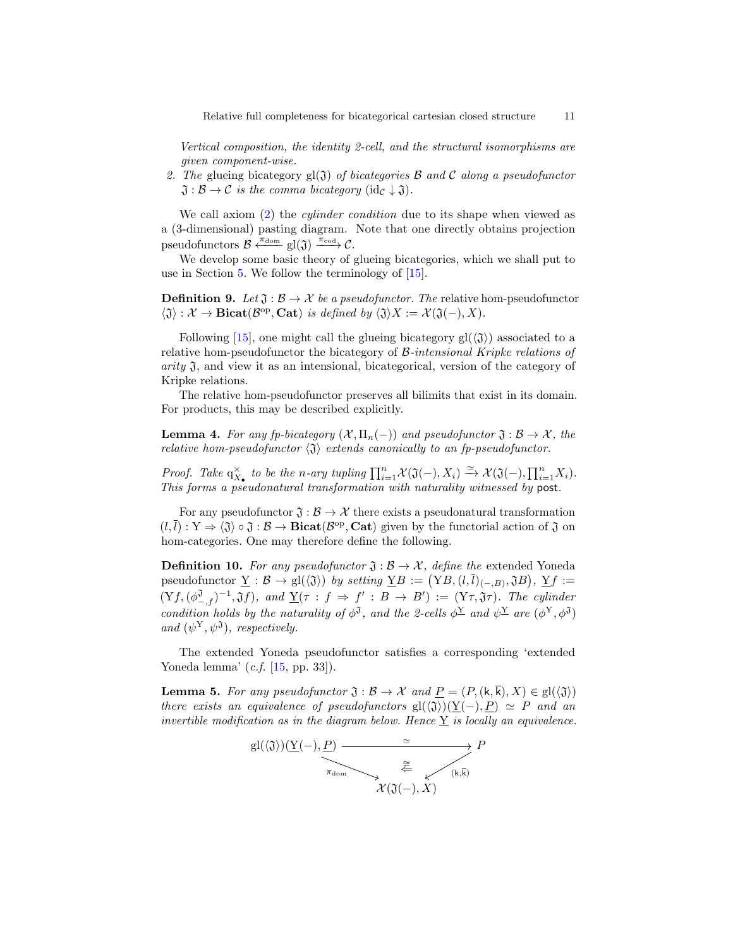Vertical composition, the identity 2-cell, and the structural isomorphisms are given component-wise.

2. The glueing bicategory  $gl(3)$  of bicategories  $\beta$  and  $\beta$  along a pseudofunctor  $\mathfrak{J}: \mathcal{B} \to \mathcal{C}$  is the comma bicategory (id<sub>C</sub>  $\downarrow \mathfrak{J}$ ).

We call axiom [\(2\)](#page-9-1) the *cylinder condition* due to its shape when viewed as a (3-dimensional) pasting diagram. Note that one directly obtains projection pseudofunctors  $\mathcal{B} \xleftarrow{\pi_{\text{dom}}} \text{gl}(\mathfrak{J}) \xrightarrow{\pi_{\text{cod}}} \mathcal{C}.$ 

We develop some basic theory of glueing bicategories, which we shall put to use in Section [5.](#page-16-0) We follow the terminology of [\[15\]](#page-18-15).

**Definition 9.** Let  $\mathfrak{J}: \mathcal{B} \to \mathcal{X}$  be a pseudofunctor. The relative hom-pseudofunctor  $\langle \mathfrak{J} \rangle : \mathcal{X} \to \textbf{Bicat}(\mathcal{B}^{\text{op}}, \textbf{Cat})$  is defined by  $\langle \mathfrak{J} \rangle X := \mathcal{X}(\mathfrak{J}(-), X)$ .

Following [\[15\]](#page-18-15), one might call the glueing bicategory  $gl(\langle \mathfrak{J} \rangle)$  associated to a relative hom-pseudofunctor the bicategory of B-intensional Kripke relations of  $arity \mathfrak{J}$ , and view it as an intensional, bicategorical, version of the category of Kripke relations.

The relative hom-pseudofunctor preserves all bilimits that exist in its domain. For products, this may be described explicitly.

**Lemma 4.** For any fp-bicategory  $(X, \Pi_n(-))$  and pseudofunctor  $\mathfrak{J}: \mathcal{B} \to \mathcal{X}$ , the relative hom-pseudofunctor  $\langle \mathfrak{J} \rangle$  extends canonically to an fp-pseudofunctor.

Proof. Take  $q_{X_{\bullet}}^{\times}$  to be the n-ary tupling  $\prod_{i=1}^{n} \mathcal{X}(\mathfrak{J}(-), X_i) \xrightarrow{\simeq} \mathcal{X}(\mathfrak{J}(-), \prod_{i=1}^{n} X_i)$ . This forms a pseudonatural transformation with naturality witnessed by post.

For any pseudofunctor  $\mathfrak{J}: \mathcal{B} \to \mathcal{X}$  there exists a pseudonatural transformation  $(l, \bar{l}) : Y \Rightarrow \langle \mathfrak{J} \rangle \circ \mathfrak{J} : \mathcal{B} \rightarrow \textbf{Bicat}(\mathcal{B}^{\text{op}}, \textbf{Cat})$  given by the functorial action of  $\mathfrak{J}$  on hom-categories. One may therefore define the following.

**Definition 10.** For any pseudofunctor  $\mathfrak{J}: \mathcal{B} \to \mathcal{X}$ , define the extended Yoneda pseudofunctor  $\underline{Y} : \mathcal{B} \to \text{gl}(\langle \mathfrak{J} \rangle)$  by setting  $\underline{Y}B := (YB, (l, \overline{l})_{(-,B)}, \mathfrak{J}B), \underline{Y}f :=$  $(Yf,(\phi_{-,f}^{\mathfrak{J}})^{-1},\mathfrak{J}f),$  and  $\underline{Y}(\tau : f \Rightarrow f' : B \rightarrow B') := (Y\tau,\mathfrak{J}\tau).$  The cylinder condition holds by the naturality of  $\phi^3$ , and the 2-cells  $\phi^{\underline{Y}}$  and  $\psi^{\underline{Y}}$  are  $(\phi^{\underline{Y}}, \phi^{\hat{Y}})$ and  $(\psi^{\rm Y}, \psi^{\rm J})$ , respectively.

The extended Yoneda pseudofunctor satisfies a corresponding 'extended Yoneda lemma' (c.f. [\[15,](#page-18-15) pp. 33]).

<span id="page-10-0"></span>**Lemma 5.** For any pseudofunctor  $\mathfrak{J}: \mathcal{B} \to \mathcal{X}$  and  $\underline{P} = (P, (\mathsf{k}, \overline{\mathsf{k}}), X) \in \text{gl}(\langle \mathfrak{J} \rangle)$ there exists an equivalence of pseudofunctors  $\text{gl}(\langle \mathfrak{J} \rangle)(\underline{Y}(-), \underline{P}) \simeq P$  and an invertible modification as in the diagram below. Hence  $\underline{Y}$  is locally an equivalence.

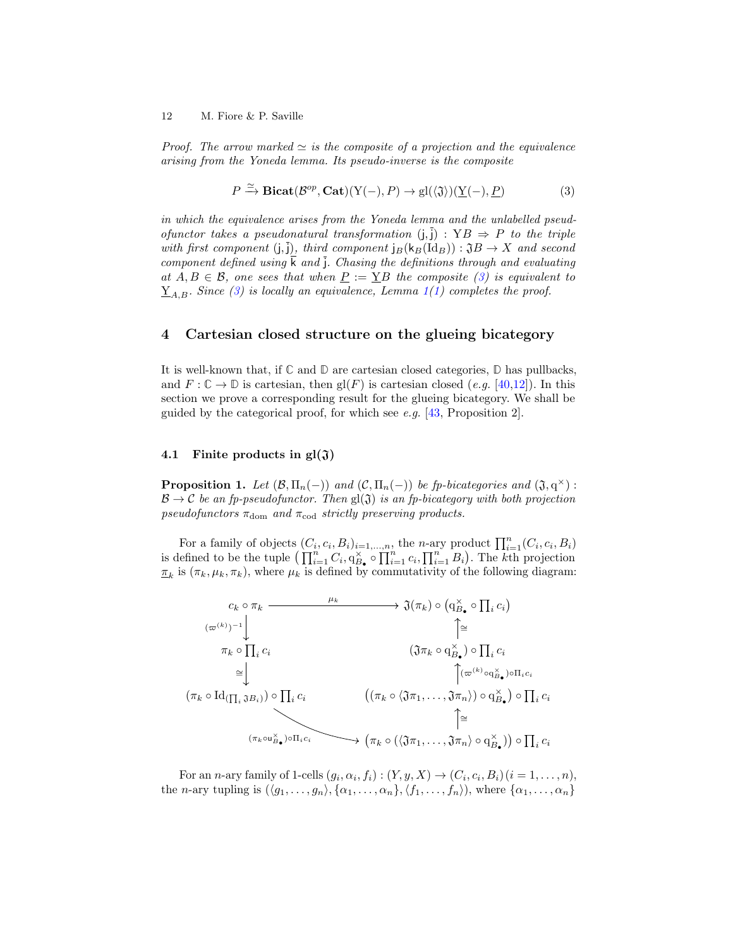Proof. The arrow marked  $\simeq$  is the composite of a projection and the equivalence arising from the Yoneda lemma. Its pseudo-inverse is the composite

<span id="page-11-1"></span>
$$
P \xrightarrow{\simeq} \text{Bicat}(\mathcal{B}^{op}, \text{Cat})(Y(-), P) \to gl(\langle \mathfrak{J} \rangle)(\underline{Y}(-), \underline{P})
$$
(3)

in which the equivalence arises from the Yoneda lemma and the unlabelled pseudofunctor takes a pseudonatural transformation  $(j, \bar{j})$  :  $YB \Rightarrow P$  to the triple with first component  $(j, \overline{j})$ , third component  $j_B(k_B(\text{Id}_B)) : \mathfrak{J}B \to X$  and second component defined using  $\overline{k}$  and  $\overline{j}$ . Chasing the definitions through and evaluating at  $A, B \in \mathcal{B}$ , one sees that when  $\underline{P} := \underline{Y}B$  the composite [\(3\)](#page-11-1) is equivalent to  $\underline{Y}_{A,B}$ . Since [\(3\)](#page-11-1) is locally an equivalence, Lemma [1\(](#page-5-2)[1\)](#page-5-3) completes the proof.

# <span id="page-11-0"></span>4 Cartesian closed structure on the glueing bicategory

It is well-known that, if **C** and **D** are cartesian closed categories, **D** has pullbacks, and  $F: \mathbb{C} \to \mathbb{D}$  is cartesian, then  $\text{gl}(F)$  is cartesian closed (e.g. [\[40,](#page-20-7)[12\]](#page-18-0)). In this section we prove a corresponding result for the glueing bicategory. We shall be guided by the categorical proof, for which see e.g.  $[43,$  Proposition 2].

## 4.1 Finite products in  $gl(3)$

<span id="page-11-2"></span>**Proposition 1.** Let  $(\mathcal{B}, \Pi_n(-))$  and  $(\mathcal{C}, \Pi_n(-))$  be fp-bicategories and  $(\mathfrak{J}, q^{\times})$ :  $\mathcal{B} \to \mathcal{C}$  be an fp-pseudofunctor. Then  $gl(\mathfrak{J})$  is an fp-bicategory with both projection pseudofunctors  $\pi_{\text{dom}}$  and  $\pi_{\text{cod}}$  strictly preserving products.

For a family of objects  $(C_i, c_i, B_i)_{i=1,\dots,n}$ , the n-ary product  $\prod_{i=1}^n (C_i, c_i, B_i)$ is defined to be the tuple  $\left(\prod_{i=1}^n C_i, q_{B_\bullet}^\times \circ \prod_{i=1}^n c_i, \prod_{i=1}^n B_i\right)$ . The kth projection  $\underline{\pi}_k$  is  $(\pi_k, \mu_k, \pi_k)$ , where  $\mu_k$  is defined by commutativity of the following diagram:



For an *n*-ary family of 1-cells  $(g_i, \alpha_i, f_i) : (Y, y, X) \to (C_i, c_i, B_i)$   $(i = 1, ..., n)$ , the *n*-ary tupling is  $(\langle g_1, \ldots, g_n \rangle, \{\alpha_1, \ldots, \alpha_n\}, \langle f_1, \ldots, f_n \rangle)$ , where  $\{\alpha_1, \ldots, \alpha_n\}$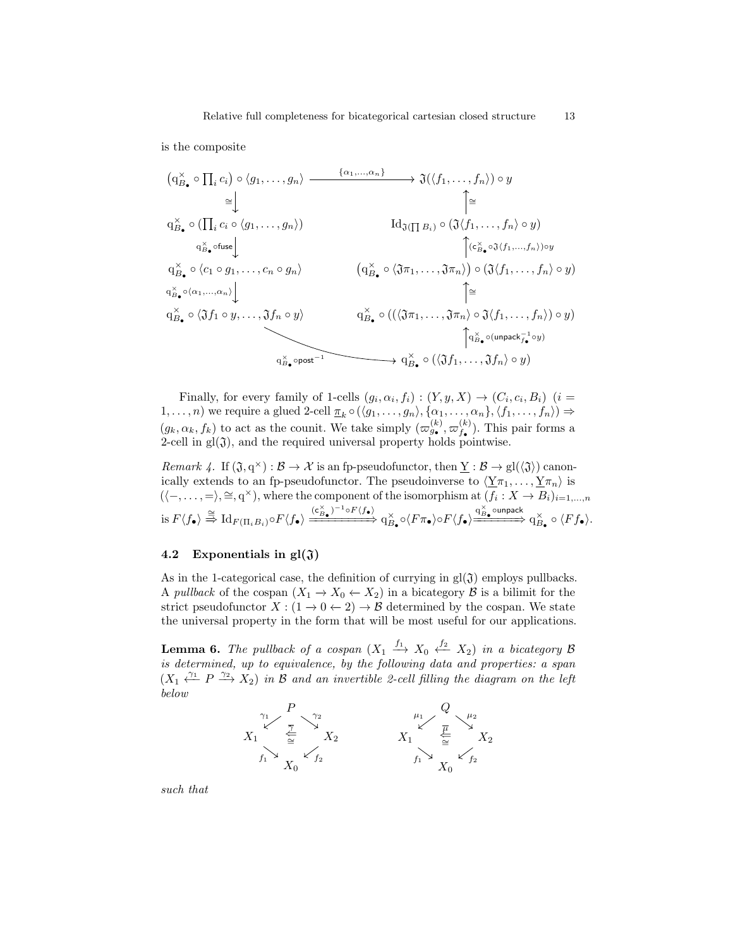is the composite

$$
(q_{B_{\bullet}}^{\times} \circ \prod_{i} c_{i}) \circ \langle g_{1}, \ldots, g_{n} \rangle \xrightarrow{\{\alpha_{1}, \ldots, \alpha_{n}\}} \mathfrak{J}(\langle f_{1}, \ldots, f_{n} \rangle) \circ y
$$
\n
$$
\cong \downarrow \qquad \qquad \downarrow \cong
$$
\n
$$
q_{B_{\bullet}}^{\times} \circ (\prod_{i} c_{i} \circ \langle g_{1}, \ldots, g_{n} \rangle) \qquad \qquad \text{Id}_{\mathfrak{J}(\prod B_{i})} \circ (\mathfrak{J}\langle f_{1}, \ldots, f_{n} \rangle \circ y)
$$
\n
$$
q_{B_{\bullet}}^{\times} \circ \text{fuse} \downarrow \qquad \qquad \downarrow \qquad \qquad \downarrow \qquad \qquad \downarrow \qquad \qquad \downarrow \qquad \qquad \downarrow \qquad \qquad \downarrow \qquad \qquad \downarrow \qquad \qquad \downarrow \qquad \qquad \downarrow \qquad \qquad \downarrow \qquad \qquad \downarrow \qquad \qquad \downarrow \qquad \qquad \downarrow \qquad \qquad \downarrow \qquad \qquad \downarrow \qquad \qquad \downarrow \qquad \qquad \downarrow \qquad \qquad \downarrow \qquad \qquad \downarrow \qquad \qquad \downarrow \qquad \qquad \downarrow \qquad \qquad \downarrow \qquad \qquad \downarrow \qquad \qquad \downarrow \qquad \qquad \downarrow \qquad \qquad \downarrow \qquad \qquad \downarrow \qquad \qquad \downarrow \qquad \qquad \downarrow \qquad \qquad \downarrow \qquad \qquad \downarrow \qquad \qquad \downarrow \qquad \qquad \downarrow \qquad \qquad \downarrow \qquad \qquad \downarrow \qquad \qquad \downarrow \qquad \qquad \downarrow \qquad \qquad \downarrow \qquad \qquad \downarrow \qquad \qquad \downarrow \qquad \qquad \downarrow \qquad \qquad \downarrow \qquad \qquad \downarrow \qquad \qquad \downarrow \qquad \qquad \downarrow \qquad \qquad \downarrow \qquad \qquad \downarrow \qquad \qquad \downarrow \qquad \qquad \downarrow \qquad \qquad \downarrow \qquad \qquad \downarrow \qquad \qquad \downarrow \qquad \qquad \downarrow \qquad \qquad \downarrow \qquad \qquad \downarrow \qquad \qquad \downarrow \qquad \qquad \
$$

Finally, for every family of 1-cells  $(g_i, \alpha_i, f_i) : (Y, y, X) \to (C_i, c_i, B_i)$   $(i =$ 1, ..., n) we require a glued 2-cell  $\pi_k \circ (\langle g_1, \ldots, g_n \rangle, \{\alpha_1, \ldots, \alpha_n\}, \langle f_1, \ldots, f_n \rangle) \Rightarrow$  $(g_k, \alpha_k, f_k)$  to act as the counit. We take simply  $(\varpi_{g_{\bullet}}^{(k)}, \varpi_{f_{\bullet}}^{(k)})$  $f_{\bullet}^{(\kappa)}$ ). This pair forms a 2-cell in  $gl(3)$ , and the required universal property holds pointwise.

<span id="page-12-0"></span>Remark 4. If  $(\mathfrak{J}, q^{\times}) : \mathcal{B} \to \mathcal{X}$  is an fp-pseudofunctor, then  $\underline{Y} : \mathcal{B} \to gl(\mathfrak{J})$  canonically extends to an fp-pseudofunctor. The pseudoinverse to  $\langle \underline{Y}\pi_1, \ldots, \underline{Y}\pi_n \rangle$  is  $(\langle -, \ldots, = \rangle, \cong, q^{\times})$ , where the component of the isomorphism at  $(f_i : X \to B_i)_{i=1,\ldots,n}$  $\mathrm{d} \in F\langle f_\bullet \rangle \stackrel{\cong}{\Longrightarrow} \mathrm{Id}_{F(\Pi_iB_i)} \circ F\langle f_\bullet \rangle \xrightarrow{(\mathsf{c}^\times_{B_\bullet})^{-1} \circ F\langle f_\bullet \rangle} \xrightarrow{\mathsf{q}^\times_{B_\bullet} \circ \langle F \pi_\bullet \rangle \circ F\langle f_\bullet \rangle \xrightarrow{\mathsf{q}^\times_{B_\bullet} \circ \mathrm{unpack}} \mathsf{q}^\times_{B_\bullet} \circ \langle F f_\bullet \rangle.$ 

## 4.2 Exponentials in  $gl(3)$

As in the 1-categorical case, the definition of currying in  $gl(3)$  employs pullbacks. A *pullback* of the cospan  $(X_1 \to X_0 \leftarrow X_2)$  in a bicategory  $\beta$  is a bilimit for the strict pseudofunctor  $X : (1 \to 0 \leftarrow 2) \to \mathcal{B}$  determined by the cospan. We state the universal property in the form that will be most useful for our applications.

**Lemma 6.** The pullback of a cospan  $(X_1 \xrightarrow{f_1} X_0 \xleftarrow{f_2} X_2)$  in a bicategory B is determined, up to equivalence, by the following data and properties: a span  $(X_1 \xleftarrow{\gamma_1} P \xrightarrow{\gamma_2} X_2)$  in B and an invertible 2-cell filling the diagram on the left below



such that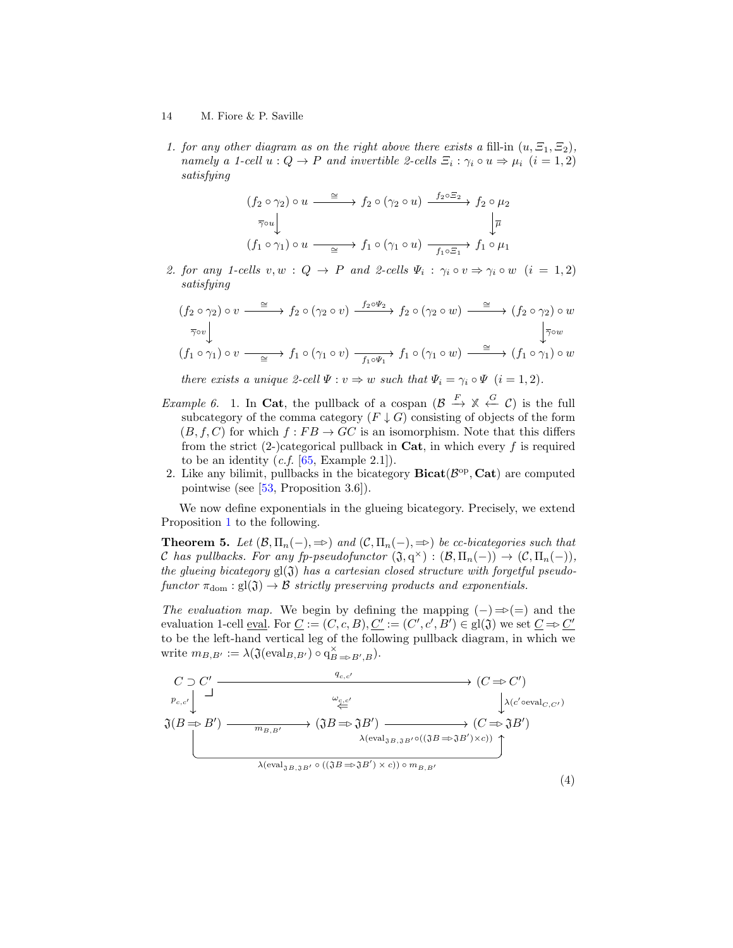1. for any other diagram as on the right above there exists a fill-in  $(u, \Xi_1, \Xi_2)$ , namely a 1-cell  $u: Q \to P$  and invertible 2-cells  $\Xi_i : \gamma_i \circ u \Rightarrow \mu_i \ (i = 1, 2)$ satisfying

$$
(f_2 \circ \gamma_2) \circ u \xrightarrow{\simeq} f_2 \circ (\gamma_2 \circ u) \xrightarrow{f_2 \circ \Xi_2} f_2 \circ \mu_2
$$
  

$$
\overline{\gamma} \circ u \downarrow \qquad \qquad \downarrow \overline{\mu}
$$
  

$$
(f_1 \circ \gamma_1) \circ u \xrightarrow{\simeq} f_1 \circ (\gamma_1 \circ u) \xrightarrow{f_1 \circ \Xi_1} f_1 \circ \mu_1
$$

2. for any 1-cells  $v, w : Q \to P$  and 2-cells  $\Psi_i : \gamma_i \circ v \Rightarrow \gamma_i \circ w$   $(i = 1, 2)$ satisfying

$$
(f_2 \circ \gamma_2) \circ v \xrightarrow{\simeq} f_2 \circ (\gamma_2 \circ v) \xrightarrow{f_2 \circ \Psi_2} f_2 \circ (\gamma_2 \circ w) \xrightarrow{\simeq} (f_2 \circ \gamma_2) \circ w
$$
  

$$
\overline{\gamma} \circ v \downarrow \qquad \qquad \downarrow \overline{\gamma} \circ w
$$
  

$$
(f_1 \circ \gamma_1) \circ v \xrightarrow{\simeq} f_1 \circ (\gamma_1 \circ v) \xrightarrow{f_1 \circ \Psi_1} f_1 \circ (\gamma_1 \circ w) \xrightarrow{\simeq} (f_1 \circ \gamma_1) \circ w
$$

there exists a unique 2-cell  $\Psi: v \Rightarrow w$  such that  $\Psi_i = \gamma_i \circ \Psi$   $(i = 1, 2)$ .

- *Example 6.* 1. In Cat, the pullback of a cospan  $(\mathcal{B} \xrightarrow{F} \mathbb{X} \xleftarrow{G} C)$  is the full subcategory of the comma category  $(F \downarrow G)$  consisting of objects of the form  $(B, f, C)$  for which  $f : FB \rightarrow GC$  is an isomorphism. Note that this differs from the strict  $(2-)$ categorical pullback in **Cat**, in which every f is required to be an identity  $(c.f. [65, Example 2.1]).$  $(c.f. [65, Example 2.1]).$  $(c.f. [65, Example 2.1]).$
- 2. Like any bilimit, pullbacks in the bicategory  $\textbf{Bicat}(\mathcal{B}^{\text{op}}, \textbf{Cat})$  are computed pointwise (see [\[53,](#page-20-18) Proposition 3.6]).

We now define exponentials in the glueing bicategory. Precisely, we extend Proposition [1](#page-11-2) to the following.

<span id="page-13-1"></span>**Theorem 5.** Let  $(\mathcal{B}, \Pi_n(-), \Rightarrow)$  and  $(\mathcal{C}, \Pi_n(-), \Rightarrow)$  be cc-bicategories such that C has pullbacks. For any fp-pseudofunctor  $(\mathfrak{J}, q^{\times}) : (\mathcal{B}, \Pi_n(-)) \to (\mathcal{C}, \Pi_n(-)),$ the glueing bicategory  $gl(3)$  has a cartesian closed structure with forgetful pseudofunctor  $\pi_{\text{dom}} : gl(\mathfrak{J}) \to \mathcal{B}$  strictly preserving products and exponentials.

The evaluation map. We begin by defining the mapping  $(-) \Rightarrow (-)$  and the evaluation 1-cell eval. For  $\underline{C} := (C, c, B), \underline{C'} := (C', c', B') \in \text{gl}(\mathfrak{J})$  we set  $\underline{C} \Rightarrow \underline{C'}$ to be the left-hand vertical leg of the following pullback diagram, in which we write  $m_{B,B'} := \lambda(\mathfrak{J}(\text{eval}_{B,B'}) \circ q_{B \Rightarrow B',B}^{\times}).$ 

<span id="page-13-0"></span>
$$
C \supset C' \longrightarrow (C \Rightarrow C')
$$
\n
$$
\mathfrak{J}(B \Rightarrow B') \longrightarrow \mathfrak{J}(B \Rightarrow B') \longrightarrow (\mathfrak{J}B \Rightarrow \mathfrak{J}B') \longrightarrow (C \Rightarrow \mathfrak{J}B')
$$
\n
$$
\mathfrak{J}(B \Rightarrow B') \longrightarrow \mathfrak{J}(B \Rightarrow \mathfrak{J}B') \longrightarrow (C \Rightarrow \mathfrak{J}B')
$$
\n
$$
\lambda(\text{eval}_{\mathfrak{J}B, \mathfrak{J}B'} \circ ((\mathfrak{J}B \Rightarrow \mathfrak{J}B') \times c)) \circ m_{B,B'} \longrightarrow (C \Rightarrow \mathfrak{J}B')
$$
\n
$$
\lambda(\text{eval}_{\mathfrak{J}B, \mathfrak{J}B'} \circ ((\mathfrak{J}B \Rightarrow \mathfrak{J}B') \times c)) \circ m_{B,B'} \tag{4}
$$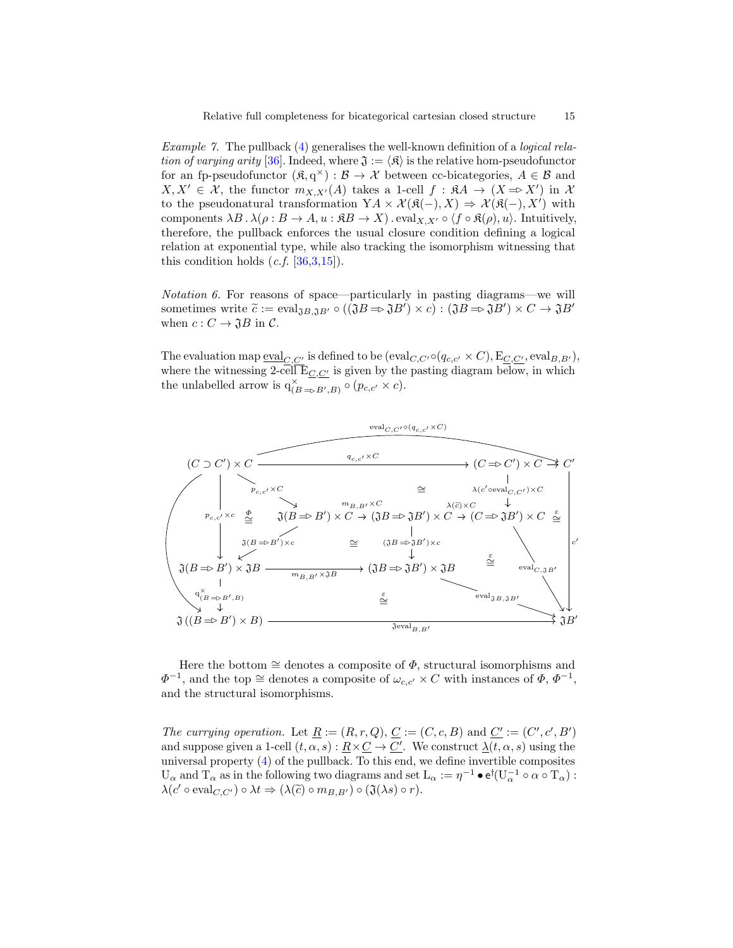Example 7. The pullback [\(4\)](#page-13-0) generalises the well-known definition of a logical rela-tion of varying arity [\[36\]](#page-19-20). Indeed, where  $\mathfrak{J} := \langle \mathfrak{K} \rangle$  is the relative hom-pseudofunctor for an fp-pseudofunctor  $(\mathfrak{K}, q^{\times}) : \mathcal{B} \to \mathcal{X}$  between cc-bicategories,  $A \in \mathcal{B}$  and  $X, X' \in \mathcal{X}$ , the functor  $m_{X,X'}(A)$  takes a 1-cell  $f : \mathfrak{K}A \to (X \Rightarrow X')$  in X to the pseudonatural transformation  $YA \times \mathcal{X}(\mathfrak{K}(-),X) \Rightarrow \mathcal{X}(\mathfrak{K}(-),X')$  with components  $\lambda B \cdot \lambda (\rho : B \to A, u : \mathfrak{R}B \to X)$ . eval<sub>X, X'</sub>  $\circ$   $\langle f \circ \mathfrak{K}(\rho), u \rangle$ . Intuitively, therefore, the pullback enforces the usual closure condition defining a logical relation at exponential type, while also tracking the isomorphism witnessing that this condition holds  $(c.f. [36,3,15])$  $(c.f. [36,3,15])$  $(c.f. [36,3,15])$  $(c.f. [36,3,15])$  $(c.f. [36,3,15])$ .

Notation 6. For reasons of space—particularly in pasting diagrams—we will sometimes write  $\widetilde{c} := \text{eval}_{\mathfrak{J}B, \mathfrak{J}B'} \circ ((\mathfrak{J}B \Rightarrow \mathfrak{J}B') \times c) : (\mathfrak{J}B \Rightarrow \mathfrak{J}B') \times C \rightarrow \mathfrak{J}B'$ <br>when  $c : C \rightarrow \mathfrak{J}B$  in  $C$ when  $c: C \to \mathfrak{J}B$  in  $\mathcal{C}.$ 

The evaluation map  $\underline{eval}_{C,C'}$  is defined to be  $(\text{eval}_{C,C'} \circ (q_{c,c'} \times C), \text{E}_{C,C'}, \text{eval}_{B,B'})$ , where the witnessing 2-cell  $\overline{\mathbb{E}_{C,C'}}$  is given by the pasting diagram below, in which the unlabelled arrow is  $q_{(B \Rightarrow B', B)}^{\times} \circ (p_{c,c'} \times c)$ .



Here the bottom  $\cong$  denotes a composite of  $\Phi$ , structural isomorphisms and  $\Phi^{-1}$ , and the top  $\cong$  denotes a composite of  $\omega_{c,c'} \times C$  with instances of  $\Phi$ ,  $\Phi^{-1}$ , and the structural isomorphisms.

The currying operation. Let  $\underline{R} := (R, r, Q), C := (C, c, B)$  and  $\underline{C'} := (C', c', B')$ and suppose given a 1-cell  $(t, \alpha, s) : \underline{R} \times \underline{C} \to \underline{C'}$ . We construct  $\underline{\lambda}(t, \alpha, s)$  using the universal property [\(4\)](#page-13-0) of the pullback. To this end, we define invertible composites  $U_\alpha$  and  $T_\alpha$  as in the following two diagrams and set  $L_\alpha := \eta^{-1} \bullet e^{\dagger} (U_\alpha^{-1} \circ \alpha \circ T_\alpha)$ :  $\lambda(c' \circ \text{eval}_{C,C'}) \circ \lambda t \Rightarrow (\lambda(\tilde{c}) \circ m_{B,B'}) \circ (\mathfrak{J}(\lambda s) \circ r).$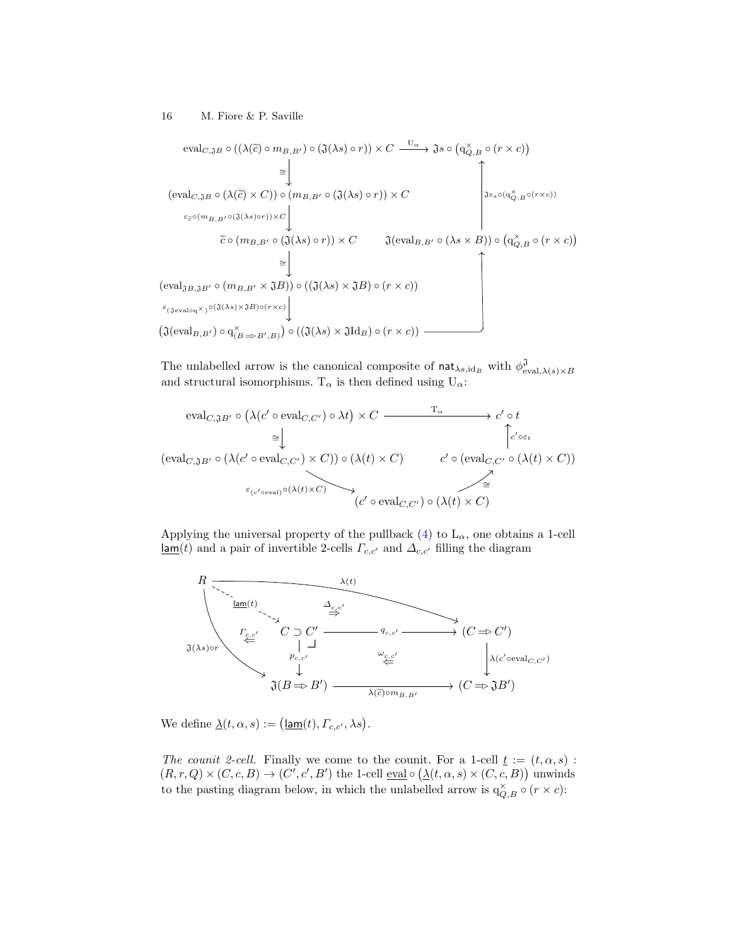$$
\text{eval}_{C, \mathfrak{J}B} \circ ((\lambda(\tilde{c}) \circ m_{B,B'}) \circ (\mathfrak{J}(\lambda s) \circ r)) \times C \xrightarrow{\mathbf{U}_{\alpha}} \mathfrak{J} s \circ (q_{Q,B}^{\times} \circ (r \times c))
$$
\n
$$
\cong \downarrow
$$
\n
$$
\left(\text{eval}_{C, \mathfrak{J}B} \circ (\lambda(\tilde{c}) \times C)) \circ (m_{B,B'} \circ (\mathfrak{J}(\lambda s) \circ r)) \times C \right) \xrightarrow{\varepsilon_{\tilde{c}} \circ (m_{B,B'} \circ (\mathfrak{J}(\lambda s) \circ r)) \times C} \mathfrak{J}(\text{eval}_{B,B'} \circ (\lambda s \times B)) \circ (q_{Q,B}^{\times} \circ (r \times c))
$$
\n
$$
\cong \downarrow
$$
\n
$$
\left(\text{eval}_{\mathfrak{J}B, \mathfrak{J}B'} \circ (m_{B,B'} \times \mathfrak{J}B)) \circ ((\mathfrak{J}(\lambda s) \times \mathfrak{J}B) \circ (r \times c)) \right) \xrightarrow{\varepsilon_{(\mathfrak{J}eval_{Q,A})} \circ (\mathfrak{J}(\lambda s) \times \mathfrak{J}B) \circ (r \times c)}
$$
\n
$$
\left(\text{eval}_{\mathfrak{J}B,B'} \circ (m_{B,B'} \times \mathfrak{J}B)) \circ ((\mathfrak{J}(\lambda s) \times \mathfrak{J}B) \circ (r \times c)) \right)
$$
\n
$$
\left(\mathfrak{J}(\text{eval}_{B,B'}) \circ q_{(B \Rightarrow B',B)}^{\times}\right) \circ ((\mathfrak{J}(\lambda s) \times \mathfrak{J}d_{B}) \circ (r \times c)) \xrightarrow{\varepsilon_{(\mathfrak{J}G)}} \mathfrak{J}(\text{eval}_{B,B'}) \circ (r \times c))
$$

The unlabelled arrow is the canonical composite of  $\textsf{nat}_{\lambda s, \text{id}_B}$  with  $\phi_{\text{eval},\lambda(s)\times B}^{\mathfrak{J}}$ and structural isomorphisms.  $T_{\alpha}$  is then defined using  $U_{\alpha}$ :

$$
\text{eval}_{C, \mathfrak{J}B'} \circ (\lambda(c' \circ \text{eval}_{C,C'}) \circ \lambda t) \times C \xrightarrow{\mathrm{T}_{\alpha}} c' \circ t
$$
\n
$$
\cong \downarrow \qquad \qquad \uparrow c' \circ \epsilon
$$
\n
$$
(\text{eval}_{C, \mathfrak{J}B'} \circ (\lambda(c' \circ \text{eval}_{C,C'}) \times C)) \circ (\lambda(t) \times C) \qquad c' \circ (\text{eval}_{C,C'} \circ (\lambda(t) \times C))
$$
\n
$$
\varepsilon_{(c' \circ \text{eval})} \circ (\lambda(t) \times C) \qquad \qquad (c' \circ \text{eval}_{C,C'}) \circ (\lambda(t) \times C)
$$

Applying the universal property of the pullback  $(4)$  to  $L_{\alpha}$ , one obtains a 1-cell  $\underline{\mathsf{lam}}(t)$  and a pair of invertible 2-cells<br>  $\varGamma_{c,c'}$  and  $\varDelta_{c,c'}$  filling the diagram



We define  $\underline{\lambda}(t, \alpha, s) := (\underline{\mathsf{lam}}(t), \Gamma_{c,c'}, \lambda s).$ 

The counit 2-cell. Finally we come to the counit. For a 1-cell  $\underline{t} := (t, \alpha, s)$ :  $(R, r, Q) \times (C, c, B) \rightarrow (C', c', B')$  the 1-cell eval  $\circ (\underline{\lambda}(t, \alpha, s) \times (C, c, B))$  unwinds to the pasting diagram below, in which the unlabelled arrow is  $q_{Q,B}^{\times} \circ (r \times c)$ :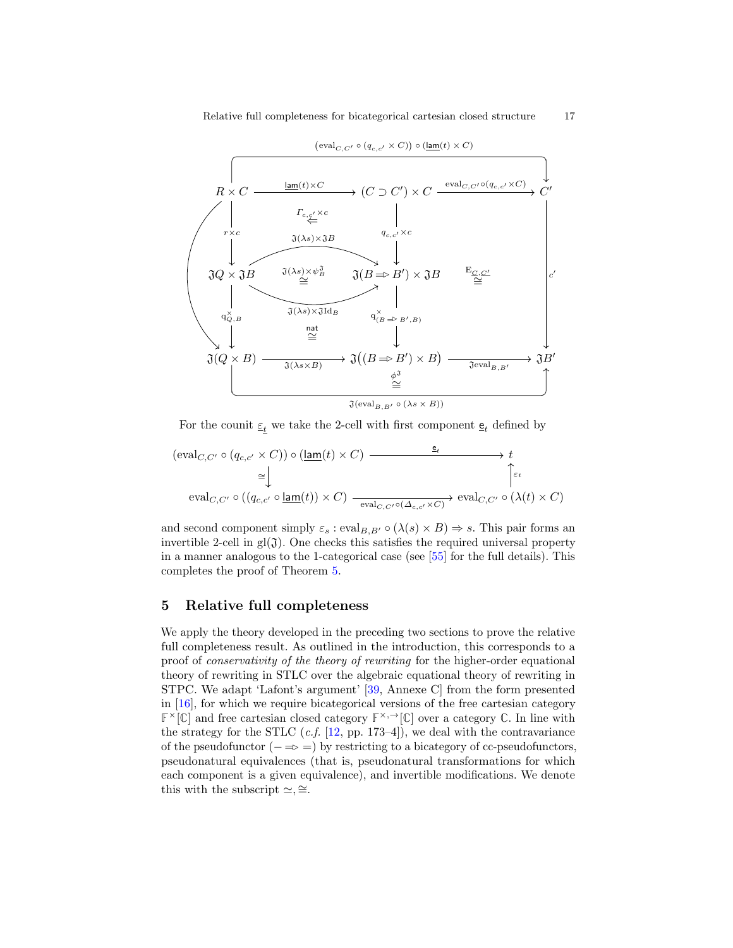

For the counit  $\underline{\varepsilon}_{t}$  we take the 2-cell with first component<br>  $\underline{\mathsf{e}}_{t}$  defined by

$$
(\text{eval}_{C,C'} \circ (q_{c,c'} \times C)) \circ (\underline{\text{lam}}(t) \times C) \xrightarrow{\epsilon_t} t
$$
  
\n
$$
\cong \downarrow \qquad \qquad \uparrow \epsilon_t
$$
  
\n
$$
\text{eval}_{C,C'} \circ ((q_{c,c'} \circ \underline{\text{lam}}(t)) \times C) \xrightarrow{\text{eval}_{C,C'} \circ (\Delta_{c,c'} \times C)} \text{eval}_{C,C'} \circ (\lambda(t) \times C)
$$

and second component simply  $\varepsilon_s$ : eval $_{B,B'} \circ (\lambda(s) \times B) \Rightarrow s$ . This pair forms an invertible 2-cell in  $gl(J)$ . One checks this satisfies the required universal property in a manner analogous to the 1-categorical case (see [\[55\]](#page-20-6) for the full details). This completes the proof of Theorem [5.](#page-13-1)

## <span id="page-16-0"></span>5 Relative full completeness

We apply the theory developed in the preceding two sections to prove the relative full completeness result. As outlined in the introduction, this corresponds to a proof of conservativity of the theory of rewriting for the higher-order equational theory of rewriting in STLC over the algebraic equational theory of rewriting in STPC. We adapt 'Lafont's argument' [\[39,](#page-20-1) Annexe C] from the form presented in [\[16\]](#page-18-2), for which we require bicategorical versions of the free cartesian category  $\mathbb{F}^{\times}[\mathbb{C}]$  and free cartesian closed category  $\mathbb{F}^{\times,\rightarrow}[\mathbb{C}]$  over a category  $\mathbb{C}$ . In line with the strategy for the STLC  $(c.f. [12, pp. 173-4])$  $(c.f. [12, pp. 173-4])$  $(c.f. [12, pp. 173-4])$ , we deal with the contravariance of the pseudofunctor  $(- \Rightarrow =)$  by restricting to a bicategory of cc-pseudofunctors, pseudonatural equivalences (that is, pseudonatural transformations for which each component is a given equivalence), and invertible modifications. We denote this with the subscript  $\simeq, \cong.$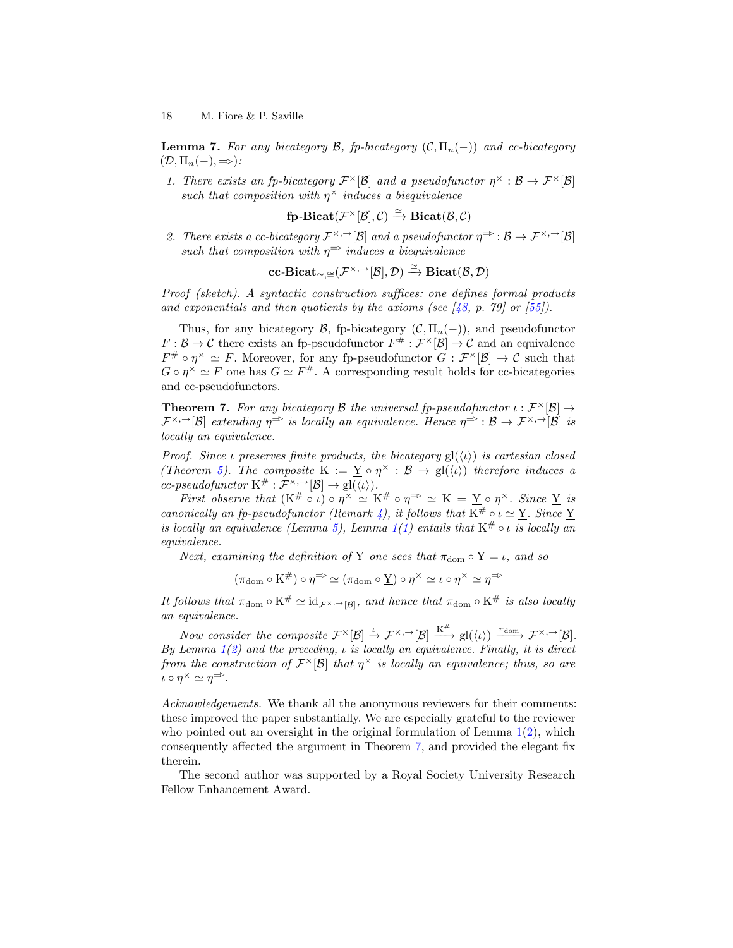**Lemma 7.** For any bicategory  $\mathcal{B}$ , fp-bicategory  $(\mathcal{C}, \Pi_n(-))$  and cc-bicategory  $(\mathcal{D}, \Pi_n(-), \Rightarrow)$ :

1. There exists an fp-bicategory  $\mathcal{F}^{\times}[\mathcal{B}]$  and a pseudofunctor  $\eta^{\times}:\mathcal{B}\to\mathcal{F}^{\times}[\mathcal{B}]$ such that composition with  $\eta^{\times}$  induces a biequivalence

 $f\!\!p\text{-} \mathrm{Bicat}(\mathcal{F}^\times[\mathcal{B}],\mathcal{C}) \stackrel{\simeq}{\to} \mathrm{Bicat}(\mathcal{B},\mathcal{C})$ 

2. There exists a cc-bicategory  $\mathcal{F}^{\times, \to}[\mathcal{B}]$  and a pseudofunctor  $\eta^{\Rightarrow} : \mathcal{B} \to \mathcal{F}^{\times, \to}[\mathcal{B}]$ such that composition with  $\eta^{\Rightarrow}$  induces a biequivalence

 $\mathbf{cc}\text{-}\mathbf{Bicat}_{\simeq, \simeq}(\mathcal{F}^{\times, \rightarrow}[\mathcal{B}], \mathcal{D}) \xrightarrow{\simeq} \mathbf{Bicat}(\mathcal{B}, \mathcal{D})$ 

Proof (sketch). A syntactic construction suffices: one defines formal products and exponentials and then quotients by the axioms (see  $[48, p. 79]$  $[48, p. 79]$  or  $[55]$ ).

Thus, for any bicategory  $\mathcal{B}$ , fp-bicategory  $(\mathcal{C}, \Pi_n(-))$ , and pseudofunctor  $F: \mathcal{B} \to \mathcal{C}$  there exists an fp-pseudofunctor  $F^{\#}: \mathcal{F}^{\times}[\mathcal{B}] \to \mathcal{C}$  and an equivalence  $F^{\#} \circ \eta^{\times} \simeq F$ . Moreover, for any fp-pseudofunctor  $G : \mathcal{F}^{\times}[\mathcal{B}] \to \mathcal{C}$  such that  $G \circ \eta^{\times} \simeq F$  one has  $G \simeq F^{\#}$ . A corresponding result holds for cc-bicategories and cc-pseudofunctors.

<span id="page-17-0"></span>**Theorem 7.** For any bicategory B the universal fp-pseudofunctor  $\iota : \mathcal{F}^{\times}[\mathcal{B}] \rightarrow$  $\mathcal{F}^{\times,\to}[\mathcal{B}]$  extending  $\eta^{\Rightarrow}$  is locally an equivalence. Hence  $\eta^{\Rightarrow}:\mathcal{B}\to\mathcal{F}^{\times,\to}[\mathcal{B}]$  is locally an equivalence.

Proof. Since *ι* preserves finite products, the bicategory  $gl(\langle \iota \rangle)$  is cartesian closed (Theorem [5\)](#page-13-1). The composite  $K := \underline{Y} \circ \eta^{\times} : \mathcal{B} \to gl(\langle \iota \rangle)$  therefore induces a cc-pseudofunctor  $K^{\#} : \mathcal{F}^{\times,\rightarrow}[\mathcal{B}] \rightarrow \text{gl}(\langle \iota \rangle).$ 

First observe that  $(K^{\#} \circ \iota) \circ \eta^{\times} \simeq K^{\#} \circ \eta^{\Rightarrow} \simeq K = \underline{Y} \circ \eta^{\times}$ . Since  $\underline{Y}$  is canonically an fp-pseudofunctor (Remark [4\)](#page-12-0), it follows that  $K^{\#} \circ \iota \simeq \underline{Y}$ . Since Y is locally an equivalence (Lemma [5\)](#page-10-0), Lemma  $1(1)$  $1(1)$  entails that  $K^{\#} \circ \iota$  is locally an equivalence.

Next, examining the definition of  $\underline{Y}$  one sees that  $\pi_{\text{dom}} \circ \underline{Y} = \iota$ , and so

 $(\pi_{\text{dom}} \circ K^{\#}) \circ \eta^{\Rightarrow} \simeq (\pi_{\text{dom}} \circ \underline{Y}) \circ \eta^{\times} \simeq \iota \circ \eta^{\times} \simeq \eta^{\Rightarrow}$ 

It follows that  $\pi_{\text{dom}} \circ K^{\#} \simeq id_{\mathcal{F}^{\times}, \to [\mathcal{B}]},$  and hence that  $\pi_{\text{dom}} \circ K^{\#}$  is also locally an equivalence.

Now consider the composite  $\mathcal{F}^{\times}[\mathcal{B}] \stackrel{\iota}{\rightarrow} \mathcal{F}^{\times,+}[\mathcal{B}] \stackrel{\mathrm{K}^{\#}}{\longrightarrow} \mathrm{gl}(\langle \iota \rangle) \stackrel{\pi_{\mathrm{dom}}} {\longrightarrow} \mathcal{F}^{\times,+}[\mathcal{B}].$ By Lemma  $1(2)$  $1(2)$  and the preceding,  $\iota$  is locally an equivalence. Finally, it is direct from the construction of  $\mathcal{F}^{\times}[\mathcal{B}]$  that  $\eta^{\times}$  is locally an equivalence; thus, so are  $\iota \circ \eta^{\times} \simeq \eta^{\Rightarrow}$ .

Acknowledgements. We thank all the anonymous reviewers for their comments: these improved the paper substantially. We are especially grateful to the reviewer who pointed out an oversight in the original formulation of Lemma  $1(2)$  $1(2)$ , which consequently affected the argument in Theorem [7,](#page-17-0) and provided the elegant fix therein.

The second author was supported by a Royal Society University Research Fellow Enhancement Award.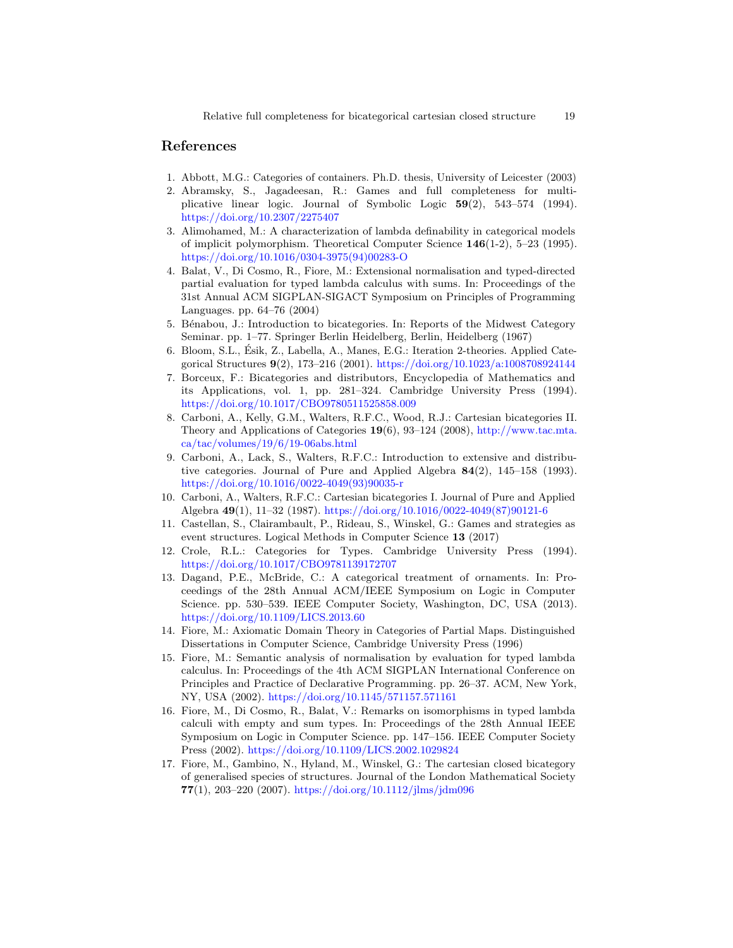## References

- <span id="page-18-9"></span>1. Abbott, M.G.: Categories of containers. Ph.D. thesis, University of Leicester (2003)
- <span id="page-18-1"></span>2. Abramsky, S., Jagadeesan, R.: Games and full completeness for multiplicative linear logic. Journal of Symbolic Logic 59(2), 543–574 (1994). <https://doi.org/10.2307/2275407>
- <span id="page-18-16"></span>3. Alimohamed, M.: A characterization of lambda definability in categorical models of implicit polymorphism. Theoretical Computer Science 146(1-2), 5–23 (1995). [https://doi.org/10.1016/0304-3975\(94\)00283-O](https://doi.org/10.1016/0304-3975(94)00283-O)
- <span id="page-18-3"></span>4. Balat, V., Di Cosmo, R., Fiore, M.: Extensional normalisation and typed-directed partial evaluation for typed lambda calculus with sums. In: Proceedings of the 31st Annual ACM SIGPLAN-SIGACT Symposium on Principles of Programming Languages. pp. 64–76 (2004)
- <span id="page-18-6"></span>5. B´enabou, J.: Introduction to bicategories. In: Reports of the Midwest Category Seminar. pp. 1–77. Springer Berlin Heidelberg, Berlin, Heidelberg (1967)
- <span id="page-18-5"></span>6. Bloom, S.L., Ésik, Z., Labella, A., Manes, E.G.: Iteration 2-theories. Applied Categorical Structures 9(2), 173–216 (2001). <https://doi.org/10.1023/a:1008708924144>
- <span id="page-18-7"></span>7. Borceux, F.: Bicategories and distributors, Encyclopedia of Mathematics and its Applications, vol. 1, pp. 281–324. Cambridge University Press (1994). <https://doi.org/10.1017/CBO9780511525858.009>
- <span id="page-18-12"></span>8. Carboni, A., Kelly, G.M., Walters, R.F.C., Wood, R.J.: Cartesian bicategories II. Theory and Applications of Categories 19(6), 93–124 (2008), [http://www.tac.mta.](http://www.tac.mta.ca/tac/volumes/19/6/19-06abs.html) [ca/tac/volumes/19/6/19-06abs.html](http://www.tac.mta.ca/tac/volumes/19/6/19-06abs.html)
- <span id="page-18-13"></span>9. Carboni, A., Lack, S., Walters, R.F.C.: Introduction to extensive and distributive categories. Journal of Pure and Applied Algebra 84(2), 145–158 (1993). [https://doi.org/10.1016/0022-4049\(93\)90035-r](https://doi.org/10.1016/0022-4049(93)90035-r)
- <span id="page-18-11"></span>10. Carboni, A., Walters, R.F.C.: Cartesian bicategories I. Journal of Pure and Applied Algebra 49(1), 11–32 (1987). [https://doi.org/10.1016/0022-4049\(87\)90121-6](https://doi.org/10.1016/0022-4049(87)90121-6)
- <span id="page-18-8"></span>11. Castellan, S., Clairambault, P., Rideau, S., Winskel, G.: Games and strategies as event structures. Logical Methods in Computer Science 13 (2017)
- <span id="page-18-0"></span>12. Crole, R.L.: Categories for Types. Cambridge University Press (1994). <https://doi.org/10.1017/CBO9781139172707>
- <span id="page-18-10"></span>13. Dagand, P.E., McBride, C.: A categorical treatment of ornaments. In: Proceedings of the 28th Annual ACM/IEEE Symposium on Logic in Computer Science. pp. 530–539. IEEE Computer Society, Washington, DC, USA (2013). <https://doi.org/10.1109/LICS.2013.60>
- <span id="page-18-4"></span>14. Fiore, M.: Axiomatic Domain Theory in Categories of Partial Maps. Distinguished Dissertations in Computer Science, Cambridge University Press (1996)
- <span id="page-18-15"></span>15. Fiore, M.: Semantic analysis of normalisation by evaluation for typed lambda calculus. In: Proceedings of the 4th ACM SIGPLAN International Conference on Principles and Practice of Declarative Programming. pp. 26–37. ACM, New York, NY, USA (2002). <https://doi.org/10.1145/571157.571161>
- <span id="page-18-2"></span>16. Fiore, M., Di Cosmo, R., Balat, V.: Remarks on isomorphisms in typed lambda calculi with empty and sum types. In: Proceedings of the 28th Annual IEEE Symposium on Logic in Computer Science. pp. 147–156. IEEE Computer Society Press (2002). <https://doi.org/10.1109/LICS.2002.1029824>
- <span id="page-18-14"></span>17. Fiore, M., Gambino, N., Hyland, M., Winskel, G.: The cartesian closed bicategory of generalised species of structures. Journal of the London Mathematical Society 77(1), 203–220 (2007). <https://doi.org/10.1112/jlms/jdm096>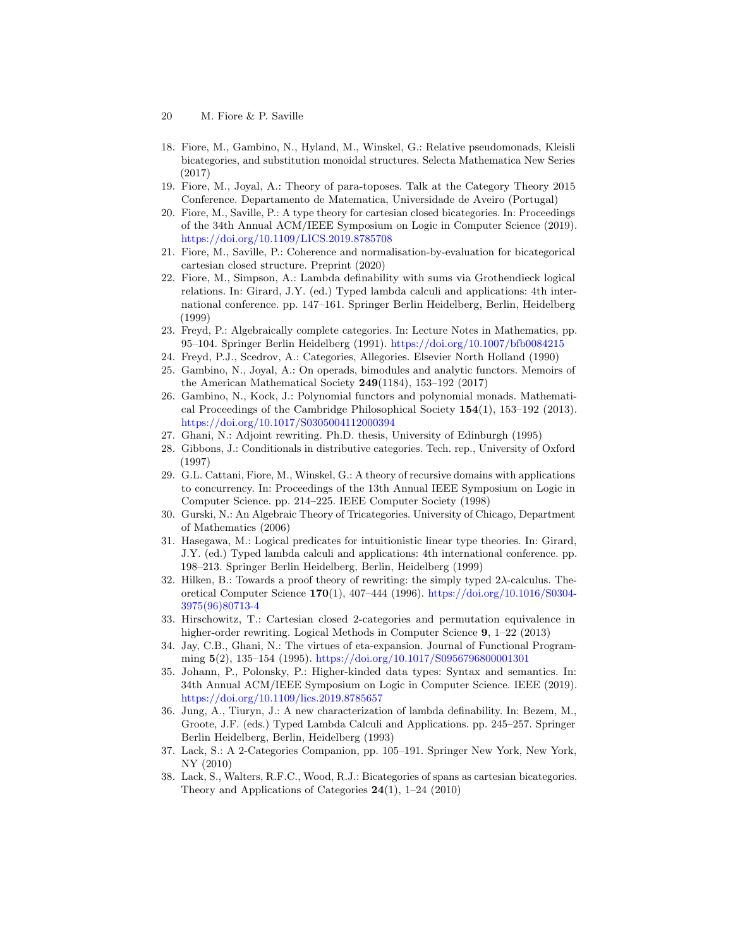- 20 M. Fiore & P. Saville
- <span id="page-19-14"></span>18. Fiore, M., Gambino, N., Hyland, M., Winskel, G.: Relative pseudomonads, Kleisli bicategories, and substitution monoidal structures. Selecta Mathematica New Series (2017)
- <span id="page-19-12"></span>19. Fiore, M., Joyal, A.: Theory of para-toposes. Talk at the Category Theory 2015 Conference. Departamento de Matematica, Universidade de Aveiro (Portugal)
- <span id="page-19-1"></span>20. Fiore, M., Saville, P.: A type theory for cartesian closed bicategories. In: Proceedings of the 34th Annual ACM/IEEE Symposium on Logic in Computer Science (2019). <https://doi.org/10.1109/LICS.2019.8785708>
- <span id="page-19-5"></span>21. Fiore, M., Saville, P.: Coherence and normalisation-by-evaluation for bicategorical cartesian closed structure. Preprint (2020)
- <span id="page-19-6"></span>22. Fiore, M., Simpson, A.: Lambda definability with sums via Grothendieck logical relations. In: Girard, J.Y. (ed.) Typed lambda calculi and applications: 4th international conference. pp. 147–161. Springer Berlin Heidelberg, Berlin, Heidelberg (1999)
- <span id="page-19-8"></span>23. Freyd, P.: Algebraically complete categories. In: Lecture Notes in Mathematics, pp. 95–104. Springer Berlin Heidelberg (1991). <https://doi.org/10.1007/bfb0084215>
- <span id="page-19-19"></span>24. Freyd, P.J., Scedrov, A.: Categories, Allegories. Elsevier North Holland (1990)
- <span id="page-19-13"></span>25. Gambino, N., Joyal, A.: On operads, bimodules and analytic functors. Memoirs of the American Mathematical Society  $249(1184)$ , 153-192 (2017)
- <span id="page-19-11"></span>26. Gambino, N., Kock, J.: Polynomial functors and polynomial monads. Mathematical Proceedings of the Cambridge Philosophical Society 154(1), 153–192 (2013). <https://doi.org/10.1017/S0305004112000394>
- <span id="page-19-3"></span>27. Ghani, N.: Adjoint rewriting. Ph.D. thesis, University of Edinburgh (1995)
- <span id="page-19-18"></span>28. Gibbons, J.: Conditionals in distributive categories. Tech. rep., University of Oxford (1997)
- <span id="page-19-10"></span>29. G.L. Cattani, Fiore, M., Winskel, G.: A theory of recursive domains with applications to concurrency. In: Proceedings of the 13th Annual IEEE Symposium on Logic in Computer Science. pp. 214–225. IEEE Computer Society (1998)
- <span id="page-19-17"></span>30. Gurski, N.: An Algebraic Theory of Tricategories. University of Chicago, Department of Mathematics (2006)
- <span id="page-19-7"></span>31. Hasegawa, M.: Logical predicates for intuitionistic linear type theories. In: Girard, J.Y. (ed.) Typed lambda calculi and applications: 4th international conference. pp. 198–213. Springer Berlin Heidelberg, Berlin, Heidelberg (1999)
- <span id="page-19-0"></span>32. Hilken, B.: Towards a proof theory of rewriting: the simply typed 2λ-calculus. Theoretical Computer Science 170(1), 407–444 (1996). [https://doi.org/10.1016/S0304-](https://doi.org/10.1016/S0304-3975(96)80713-4) [3975\(96\)80713-4](https://doi.org/10.1016/S0304-3975(96)80713-4)
- <span id="page-19-4"></span>33. Hirschowitz, T.: Cartesian closed 2-categories and permutation equivalence in higher-order rewriting. Logical Methods in Computer Science 9, 1-22 (2013)
- <span id="page-19-2"></span>34. Jay, C.B., Ghani, N.: The virtues of eta-expansion. Journal of Functional Programming 5(2), 135–154 (1995). <https://doi.org/10.1017/S0956796800001301>
- <span id="page-19-9"></span>35. Johann, P., Polonsky, P.: Higher-kinded data types: Syntax and semantics. In: 34th Annual ACM/IEEE Symposium on Logic in Computer Science. IEEE (2019). <https://doi.org/10.1109/lics.2019.8785657>
- <span id="page-19-20"></span>36. Jung, A., Tiuryn, J.: A new characterization of lambda definability. In: Bezem, M., Groote, J.F. (eds.) Typed Lambda Calculi and Applications. pp. 245–257. Springer Berlin Heidelberg, Berlin, Heidelberg (1993)
- <span id="page-19-15"></span>37. Lack, S.: A 2-Categories Companion, pp. 105–191. Springer New York, New York, NY (2010)
- <span id="page-19-16"></span>38. Lack, S., Walters, R.F.C., Wood, R.J.: Bicategories of spans as cartesian bicategories. Theory and Applications of Categories 24(1), 1–24 (2010)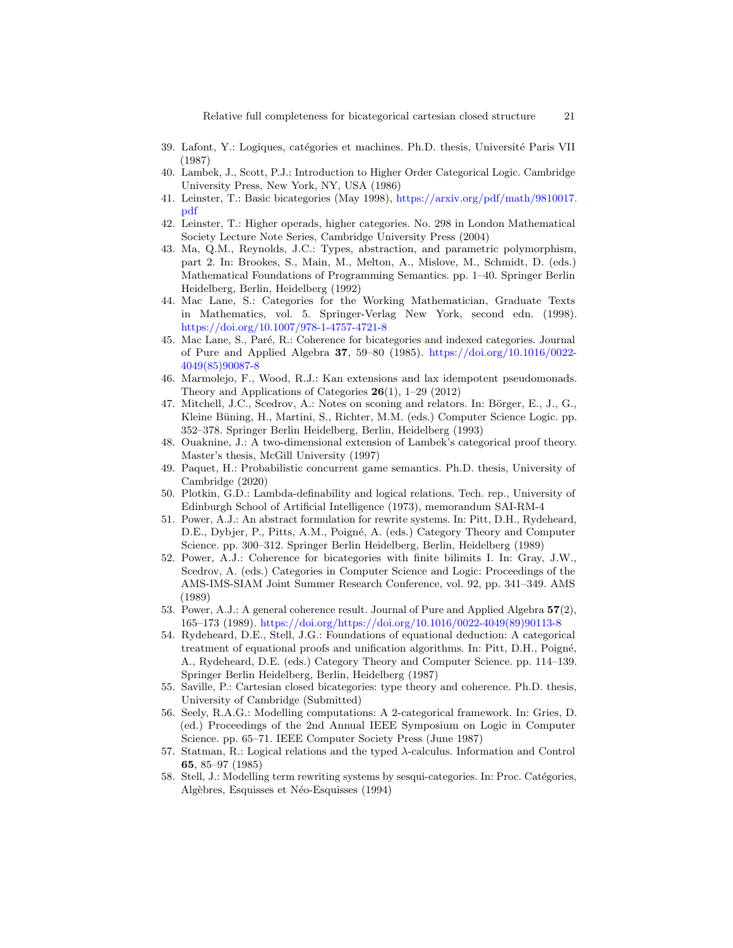- <span id="page-20-1"></span>39. Lafont, Y.: Logiques, catégories et machines. Ph.D. thesis, Université Paris VII (1987)
- <span id="page-20-7"></span>40. Lambek, J., Scott, P.J.: Introduction to Higher Order Categorical Logic. Cambridge University Press, New York, NY, USA (1986)
- <span id="page-20-8"></span>41. Leinster, T.: Basic bicategories (May 1998), [https://arxiv.org/pdf/math/9810017.](https://arxiv.org/pdf/math/9810017.pdf) [pdf](https://arxiv.org/pdf/math/9810017.pdf)
- <span id="page-20-10"></span>42. Leinster, T.: Higher operads, higher categories. No. 298 in London Mathematical Society Lecture Note Series, Cambridge University Press (2004)
- <span id="page-20-17"></span>43. Ma, Q.M., Reynolds, J.C.: Types, abstraction, and parametric polymorphism, part 2. In: Brookes, S., Main, M., Melton, A., Mislove, M., Schmidt, D. (eds.) Mathematical Foundations of Programming Semantics. pp. 1–40. Springer Berlin Heidelberg, Berlin, Heidelberg (1992)
- <span id="page-20-11"></span>44. Mac Lane, S.: Categories for the Working Mathematician, Graduate Texts in Mathematics, vol. 5. Springer-Verlag New York, second edn. (1998). <https://doi.org/10.1007/978-1-4757-4721-8>
- <span id="page-20-12"></span>45. Mac Lane, S., Paré, R.: Coherence for bicategories and indexed categories. Journal of Pure and Applied Algebra 37, 59–80 (1985). [https://doi.org/10.1016/0022-](https://doi.org/10.1016/0022-4049(85)90087-8) [4049\(85\)90087-8](https://doi.org/10.1016/0022-4049(85)90087-8)
- <span id="page-20-0"></span>46. Marmolejo, F., Wood, R.J.: Kan extensions and lax idempotent pseudomonads. Theory and Applications of Categories  $26(1)$ , 1–29 (2012)
- <span id="page-20-16"></span>47. Mitchell, J.C., Scedrov, A.: Notes on sconing and relators. In: Börger, E., J., G., Kleine Büning, H., Martini, S., Richter, M.M. (eds.) Computer Science Logic. pp. 352–378. Springer Berlin Heidelberg, Berlin, Heidelberg (1993)
- <span id="page-20-19"></span>48. Ouaknine, J.: A two-dimensional extension of Lambek's categorical proof theory. Master's thesis, McGill University (1997)
- <span id="page-20-9"></span>49. Paquet, H.: Probabilistic concurrent game semantics. Ph.D. thesis, University of Cambridge (2020)
- <span id="page-20-14"></span>50. Plotkin, G.D.: Lambda-definability and logical relations. Tech. rep., University of Edinburgh School of Artificial Intelligence (1973), memorandum SAI-RM-4
- <span id="page-20-3"></span>51. Power, A.J.: An abstract formulation for rewrite systems. In: Pitt, D.H., Rydeheard, D.E., Dybjer, P., Pitts, A.M., Poigné, A. (eds.) Category Theory and Computer Science. pp. 300–312. Springer Berlin Heidelberg, Berlin, Heidelberg (1989)
- <span id="page-20-13"></span>52. Power, A.J.: Coherence for bicategories with finite bilimits I. In: Gray, J.W., Scedrov, A. (eds.) Categories in Computer Science and Logic: Proceedings of the AMS-IMS-SIAM Joint Summer Research Conference, vol. 92, pp. 341–349. AMS (1989)
- <span id="page-20-18"></span>53. Power, A.J.: A general coherence result. Journal of Pure and Applied Algebra 57(2), 165–173 (1989). [https://doi.org/https://doi.org/10.1016/0022-4049\(89\)90113-8](https://doi.org/https://doi.org/10.1016/0022-4049(89)90113-8)
- <span id="page-20-2"></span>54. Rydeheard, D.E., Stell, J.G.: Foundations of equational deduction: A categorical treatment of equational proofs and unification algorithms. In: Pitt, D.H., Poigné, A., Rydeheard, D.E. (eds.) Category Theory and Computer Science. pp. 114–139. Springer Berlin Heidelberg, Berlin, Heidelberg (1987)
- <span id="page-20-6"></span>55. Saville, P.: Cartesian closed bicategories: type theory and coherence. Ph.D. thesis, University of Cambridge (Submitted)
- <span id="page-20-5"></span>56. Seely, R.A.G.: Modelling computations: A 2-categorical framework. In: Gries, D. (ed.) Proceedings of the 2nd Annual IEEE Symposium on Logic in Computer Science. pp. 65–71. IEEE Computer Society Press (June 1987)
- <span id="page-20-15"></span>57. Statman, R.: Logical relations and the typed λ-calculus. Information and Control 65, 85–97 (1985)
- <span id="page-20-4"></span>58. Stell, J.: Modelling term rewriting systems by sesqui-categories. In: Proc. Catégories, Algèbres, Esquisses et Néo-Esquisses (1994)